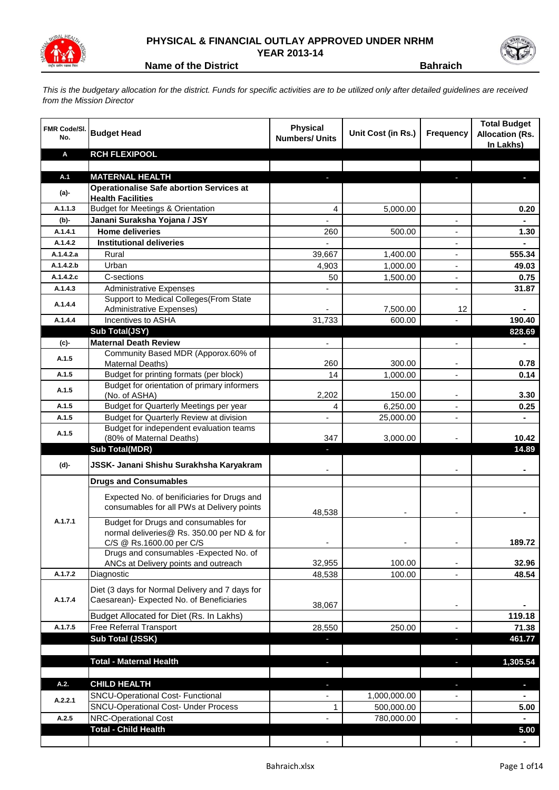

## **PHYSICAL & FINANCIAL OUTLAY APPROVED UNDER NRHM YEAR 2013-14**



**Name of the District Bahraich** 

*This is the budgetary allocation for the district. Funds for specific activities are to be utilized only after detailed guidelines are received from the Mission Director*

| <b>FMR Code/SI.</b><br>No. | <b>Budget Head</b>                                                                        | <b>Physical</b><br><b>Numbers/ Units</b> | Unit Cost (in Rs.) | <b>Frequency</b>         | <b>Total Budget</b><br><b>Allocation (Rs.</b><br>In Lakhs) |
|----------------------------|-------------------------------------------------------------------------------------------|------------------------------------------|--------------------|--------------------------|------------------------------------------------------------|
| Α                          | <b>RCH FLEXIPOOL</b>                                                                      |                                          |                    |                          |                                                            |
|                            |                                                                                           |                                          |                    |                          |                                                            |
| A.1                        | <b>MATERNAL HEALTH</b>                                                                    |                                          |                    |                          |                                                            |
| (a)-                       | <b>Operationalise Safe abortion Services at</b><br><b>Health Facilities</b>               |                                          |                    |                          |                                                            |
| A.1.1.3                    | <b>Budget for Meetings &amp; Orientation</b>                                              | 4                                        | 5,000.00           |                          | 0.20                                                       |
| $(b)$ -                    | Janani Suraksha Yojana / JSY                                                              |                                          |                    |                          |                                                            |
| A.1.4.1                    | <b>Home deliveries</b>                                                                    | 260                                      | 500.00             |                          | 1.30                                                       |
| A.1.4.2                    | <b>Institutional deliveries</b>                                                           |                                          |                    |                          |                                                            |
| A.1.4.2.a                  | Rural                                                                                     | 39,667                                   | 1,400.00           | $\overline{\phantom{a}}$ | 555.34                                                     |
| A.1.4.2.b                  | Urban                                                                                     | 4,903                                    | 1,000.00           | $\overline{\phantom{a}}$ | 49.03                                                      |
| A.1.4.2.c                  | C-sections                                                                                | 50                                       | 1,500.00           | $\overline{\phantom{a}}$ | 0.75                                                       |
| A.1.4.3                    | <b>Administrative Expenses</b>                                                            |                                          |                    |                          | 31.87                                                      |
| A.1.4.4                    | Support to Medical Colleges (From State                                                   |                                          |                    |                          |                                                            |
|                            | <b>Administrative Expenses)</b>                                                           |                                          | 7,500.00           | 12                       | ä,                                                         |
| A.1.4.4                    | Incentives to ASHA                                                                        | 31,733                                   | 600.00             |                          | 190.40                                                     |
|                            | Sub Total(JSY)<br><b>Maternal Death Review</b>                                            | $\overline{\phantom{0}}$                 |                    |                          | 828.69                                                     |
| (c)-                       | Community Based MDR (Apporox.60% of                                                       |                                          |                    |                          |                                                            |
| A.1.5                      | Maternal Deaths)                                                                          | 260                                      | 300.00             |                          | 0.78                                                       |
| A.1.5                      | Budget for printing formats (per block)                                                   | 14                                       | 1,000.00           |                          | 0.14                                                       |
| A.1.5                      | Budget for orientation of primary informers                                               |                                          |                    |                          |                                                            |
|                            | (No. of ASHA)                                                                             | 2,202                                    | 150.00             |                          | 3.30                                                       |
| A.1.5                      | Budget for Quarterly Meetings per year                                                    | 4                                        | 6,250.00           |                          | 0.25                                                       |
| A.1.5                      | Budget for Quarterly Review at division<br>Budget for independent evaluation teams        |                                          | 25,000.00          | ٠                        | $\qquad \qquad \blacksquare$                               |
| A.1.5                      | (80% of Maternal Deaths)                                                                  | 347                                      | 3,000.00           |                          | 10.42                                                      |
|                            | <b>Sub Total(MDR)</b>                                                                     | ٠                                        |                    |                          | 14.89                                                      |
| (d)-                       | JSSK- Janani Shishu Surakhsha Karyakram                                                   |                                          |                    |                          |                                                            |
|                            | <b>Drugs and Consumables</b>                                                              |                                          |                    |                          |                                                            |
|                            | Expected No. of benificiaries for Drugs and<br>consumables for all PWs at Delivery points | 48,538                                   |                    |                          |                                                            |
| A.1.7.1                    | Budget for Drugs and consumables for<br>normal deliveries@ Rs. 350.00 per ND & for        |                                          |                    |                          |                                                            |
|                            | C/S @ Rs.1600.00 per C/S                                                                  |                                          |                    |                          | 189.72                                                     |
|                            | Drugs and consumables - Expected No. of                                                   |                                          |                    |                          |                                                            |
|                            | ANCs at Delivery points and outreach                                                      | 32,955                                   | 100.00             |                          | 32.96                                                      |
| A.1.7.2                    | Diagnostic                                                                                | 48,538                                   | 100.00             |                          | 48.54                                                      |
|                            | Diet (3 days for Normal Delivery and 7 days for                                           |                                          |                    |                          |                                                            |
| A.1.7.4                    | Caesarean)- Expected No. of Beneficiaries                                                 | 38,067                                   |                    |                          |                                                            |
|                            | Budget Allocated for Diet (Rs. In Lakhs)                                                  |                                          |                    |                          | 119.18                                                     |
| A.1.7.5                    | Free Referral Transport                                                                   | 28,550                                   | 250.00             |                          | 71.38                                                      |
|                            | Sub Total (JSSK)                                                                          |                                          |                    | J,                       | 461.77                                                     |
|                            |                                                                                           |                                          |                    |                          |                                                            |
|                            | <b>Total - Maternal Health</b>                                                            | ٠                                        |                    | ٠                        | 1,305.54                                                   |
| A.2.                       | <b>CHILD HEALTH</b>                                                                       | ٠                                        |                    | ٠                        | ٠                                                          |
|                            | <b>SNCU-Operational Cost- Functional</b>                                                  | $\overline{\phantom{a}}$                 | 1,000,000.00       |                          |                                                            |
| A.2.2.1                    | <b>SNCU-Operational Cost- Under Process</b>                                               | 1                                        | 500,000.00         |                          | 5.00                                                       |
| A.2.5                      | NRC-Operational Cost                                                                      |                                          | 780,000.00         | $\frac{1}{2}$            | $\blacksquare$                                             |
|                            | <b>Total - Child Health</b>                                                               |                                          |                    |                          | 5.00                                                       |
|                            |                                                                                           |                                          |                    |                          | $\blacksquare$                                             |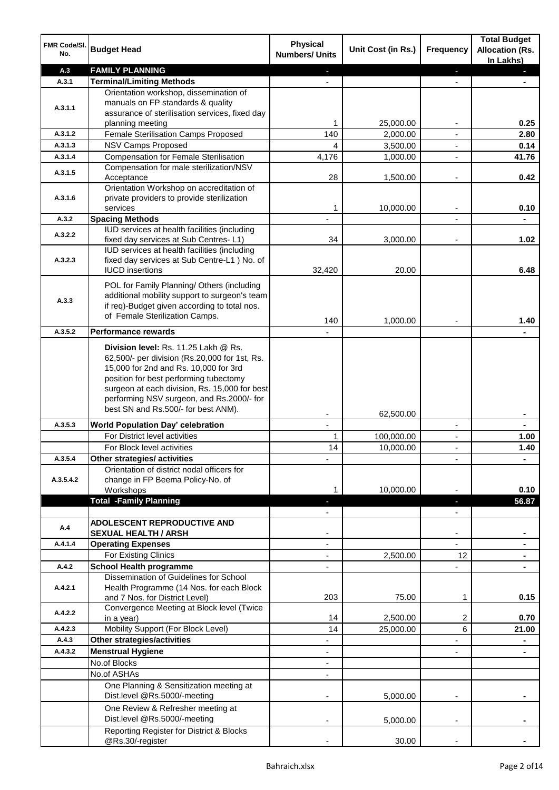| A.3<br><b>FAMILY PLANNING</b><br>٠<br><b>Terminal/Limiting Methods</b><br>A.3.1<br>Orientation workshop, dissemination of<br>manuals on FP standards & quality<br>A.3.1.1<br>assurance of sterilisation services, fixed day<br>1<br>25,000.00<br>0.25<br>planning meeting<br>Female Sterilisation Camps Proposed<br>140<br>2,000.00<br>2.80<br>A.3.1.2<br>A.3.1.3<br><b>NSV Camps Proposed</b><br>4<br>3,500.00<br>0.14<br>$\blacksquare$<br>A.3.1.4<br><b>Compensation for Female Sterilisation</b><br>4,176<br>1,000.00<br>41.76<br>$\blacksquare$<br>Compensation for male sterilization/NSV<br>A.3.1.5<br>28<br>1,500.00<br>0.42<br>Acceptance<br>$\overline{a}$<br>Orientation Workshop on accreditation of<br>private providers to provide sterilization<br>A.3.1.6<br>0.10<br>1<br>10,000.00<br>services<br>$\blacksquare$<br>A.3.2<br><b>Spacing Methods</b><br>IUD services at health facilities (including<br>A.3.2.2<br>1.02<br>fixed day services at Sub Centres-L1)<br>34<br>3,000.00<br>IUD services at health facilities (including<br>fixed day services at Sub Centre-L1 ) No. of<br>A.3.2.3<br>20.00<br>6.48<br><b>IUCD</b> insertions<br>32.420<br>POL for Family Planning/ Others (including<br>additional mobility support to surgeon's team<br>A.3.3<br>if req)-Budget given according to total nos.<br>of Female Sterilization Camps.<br>140<br>1,000.00<br>1.40<br>A.3.5.2<br><b>Performance rewards</b><br>Division level: Rs. 11.25 Lakh @ Rs.<br>62,500/- per division (Rs.20,000 for 1st, Rs.<br>15,000 for 2nd and Rs. 10,000 for 3rd<br>position for best performing tubectomy<br>surgeon at each division, Rs. 15,000 for best<br>performing NSV surgeon, and Rs.2000/- for<br>best SN and Rs.500/- for best ANM).<br>62,500.00<br>A.3.5.3<br><b>World Population Day' celebration</b><br>$\mathbf{r}$<br>$\blacksquare$<br>$\blacksquare$<br>For District level activities<br>100,000.00<br>1<br>1.00<br>$\overline{\phantom{a}}$<br>For Block level activities<br>14<br>10,000.00<br>1.40<br>$\blacksquare$<br>A.3.5.4<br>Other strategies/ activities<br>Orientation of district nodal officers for<br>change in FP Beema Policy-No. of<br>A.3.5.4.2<br>10,000.00<br>0.10<br>Workshops<br><b>Total -Family Planning</b><br>56.87<br><b>ADOLESCENT REPRODUCTIVE AND</b><br>A.4<br><b>SEXUAL HEALTH / ARSH</b><br><b>Operating Expenses</b><br>A.4.1.4<br>For Existing Clinics<br>2,500.00<br>12<br>A.4.2<br><b>School Health programme</b><br>Dissemination of Guidelines for School<br>Health Programme (14 Nos. for each Block<br>A.4.2.1<br>203<br>0.15<br>and 7 Nos. for District Level)<br>75.00<br>1<br>Convergence Meeting at Block level (Twice<br>A.4.2.2<br>2<br>14<br>2,500.00<br>0.70<br>in a year)<br>Mobility Support (For Block Level)<br>6<br>A.4.2.3<br>14<br>25,000.00<br>21.00<br>Other strategies/activities<br>A.4.3<br>A.4.3.2<br><b>Menstrual Hygiene</b><br>No.of Blocks<br>No.of ASHAs<br>One Planning & Sensitization meeting at<br>Dist.level @Rs.5000/-meeting<br>5,000.00<br>One Review & Refresher meeting at<br>Dist.level @Rs.5000/-meeting<br>5,000.00<br>Reporting Register for District & Blocks | FMR Code/SI.<br>No. | <b>Budget Head</b> | <b>Physical</b><br><b>Numbers/ Units</b> | Unit Cost (in Rs.) | Frequency | <b>Total Budget</b><br><b>Allocation (Rs.</b><br>In Lakhs) |
|----------------------------------------------------------------------------------------------------------------------------------------------------------------------------------------------------------------------------------------------------------------------------------------------------------------------------------------------------------------------------------------------------------------------------------------------------------------------------------------------------------------------------------------------------------------------------------------------------------------------------------------------------------------------------------------------------------------------------------------------------------------------------------------------------------------------------------------------------------------------------------------------------------------------------------------------------------------------------------------------------------------------------------------------------------------------------------------------------------------------------------------------------------------------------------------------------------------------------------------------------------------------------------------------------------------------------------------------------------------------------------------------------------------------------------------------------------------------------------------------------------------------------------------------------------------------------------------------------------------------------------------------------------------------------------------------------------------------------------------------------------------------------------------------------------------------------------------------------------------------------------------------------------------------------------------------------------------------------------------------------------------------------------------------------------------------------------------------------------------------------------------------------------------------------------------------------------------------------------------------------------------------------------------------------------------------------------------------------------------------------------------------------------------------------------------------------------------------------------------------------------------------------------------------------------------------------------------------------------------------------------------------------------------------------------------------------------------------------------------------------------------------------------------------------------------------------------------------------------------------------------------------------------------------------------------------------------------------------------------------------------------------------------------------------------------------------------------------------------------------------------------------------------------------|---------------------|--------------------|------------------------------------------|--------------------|-----------|------------------------------------------------------------|
|                                                                                                                                                                                                                                                                                                                                                                                                                                                                                                                                                                                                                                                                                                                                                                                                                                                                                                                                                                                                                                                                                                                                                                                                                                                                                                                                                                                                                                                                                                                                                                                                                                                                                                                                                                                                                                                                                                                                                                                                                                                                                                                                                                                                                                                                                                                                                                                                                                                                                                                                                                                                                                                                                                                                                                                                                                                                                                                                                                                                                                                                                                                                                                      |                     |                    |                                          |                    |           |                                                            |
|                                                                                                                                                                                                                                                                                                                                                                                                                                                                                                                                                                                                                                                                                                                                                                                                                                                                                                                                                                                                                                                                                                                                                                                                                                                                                                                                                                                                                                                                                                                                                                                                                                                                                                                                                                                                                                                                                                                                                                                                                                                                                                                                                                                                                                                                                                                                                                                                                                                                                                                                                                                                                                                                                                                                                                                                                                                                                                                                                                                                                                                                                                                                                                      |                     |                    |                                          |                    |           |                                                            |
|                                                                                                                                                                                                                                                                                                                                                                                                                                                                                                                                                                                                                                                                                                                                                                                                                                                                                                                                                                                                                                                                                                                                                                                                                                                                                                                                                                                                                                                                                                                                                                                                                                                                                                                                                                                                                                                                                                                                                                                                                                                                                                                                                                                                                                                                                                                                                                                                                                                                                                                                                                                                                                                                                                                                                                                                                                                                                                                                                                                                                                                                                                                                                                      |                     |                    |                                          |                    |           |                                                            |
|                                                                                                                                                                                                                                                                                                                                                                                                                                                                                                                                                                                                                                                                                                                                                                                                                                                                                                                                                                                                                                                                                                                                                                                                                                                                                                                                                                                                                                                                                                                                                                                                                                                                                                                                                                                                                                                                                                                                                                                                                                                                                                                                                                                                                                                                                                                                                                                                                                                                                                                                                                                                                                                                                                                                                                                                                                                                                                                                                                                                                                                                                                                                                                      |                     |                    |                                          |                    |           |                                                            |
|                                                                                                                                                                                                                                                                                                                                                                                                                                                                                                                                                                                                                                                                                                                                                                                                                                                                                                                                                                                                                                                                                                                                                                                                                                                                                                                                                                                                                                                                                                                                                                                                                                                                                                                                                                                                                                                                                                                                                                                                                                                                                                                                                                                                                                                                                                                                                                                                                                                                                                                                                                                                                                                                                                                                                                                                                                                                                                                                                                                                                                                                                                                                                                      |                     |                    |                                          |                    |           |                                                            |
|                                                                                                                                                                                                                                                                                                                                                                                                                                                                                                                                                                                                                                                                                                                                                                                                                                                                                                                                                                                                                                                                                                                                                                                                                                                                                                                                                                                                                                                                                                                                                                                                                                                                                                                                                                                                                                                                                                                                                                                                                                                                                                                                                                                                                                                                                                                                                                                                                                                                                                                                                                                                                                                                                                                                                                                                                                                                                                                                                                                                                                                                                                                                                                      |                     |                    |                                          |                    |           |                                                            |
|                                                                                                                                                                                                                                                                                                                                                                                                                                                                                                                                                                                                                                                                                                                                                                                                                                                                                                                                                                                                                                                                                                                                                                                                                                                                                                                                                                                                                                                                                                                                                                                                                                                                                                                                                                                                                                                                                                                                                                                                                                                                                                                                                                                                                                                                                                                                                                                                                                                                                                                                                                                                                                                                                                                                                                                                                                                                                                                                                                                                                                                                                                                                                                      |                     |                    |                                          |                    |           |                                                            |
|                                                                                                                                                                                                                                                                                                                                                                                                                                                                                                                                                                                                                                                                                                                                                                                                                                                                                                                                                                                                                                                                                                                                                                                                                                                                                                                                                                                                                                                                                                                                                                                                                                                                                                                                                                                                                                                                                                                                                                                                                                                                                                                                                                                                                                                                                                                                                                                                                                                                                                                                                                                                                                                                                                                                                                                                                                                                                                                                                                                                                                                                                                                                                                      |                     |                    |                                          |                    |           |                                                            |
|                                                                                                                                                                                                                                                                                                                                                                                                                                                                                                                                                                                                                                                                                                                                                                                                                                                                                                                                                                                                                                                                                                                                                                                                                                                                                                                                                                                                                                                                                                                                                                                                                                                                                                                                                                                                                                                                                                                                                                                                                                                                                                                                                                                                                                                                                                                                                                                                                                                                                                                                                                                                                                                                                                                                                                                                                                                                                                                                                                                                                                                                                                                                                                      |                     |                    |                                          |                    |           |                                                            |
|                                                                                                                                                                                                                                                                                                                                                                                                                                                                                                                                                                                                                                                                                                                                                                                                                                                                                                                                                                                                                                                                                                                                                                                                                                                                                                                                                                                                                                                                                                                                                                                                                                                                                                                                                                                                                                                                                                                                                                                                                                                                                                                                                                                                                                                                                                                                                                                                                                                                                                                                                                                                                                                                                                                                                                                                                                                                                                                                                                                                                                                                                                                                                                      |                     |                    |                                          |                    |           |                                                            |
|                                                                                                                                                                                                                                                                                                                                                                                                                                                                                                                                                                                                                                                                                                                                                                                                                                                                                                                                                                                                                                                                                                                                                                                                                                                                                                                                                                                                                                                                                                                                                                                                                                                                                                                                                                                                                                                                                                                                                                                                                                                                                                                                                                                                                                                                                                                                                                                                                                                                                                                                                                                                                                                                                                                                                                                                                                                                                                                                                                                                                                                                                                                                                                      |                     |                    |                                          |                    |           |                                                            |
|                                                                                                                                                                                                                                                                                                                                                                                                                                                                                                                                                                                                                                                                                                                                                                                                                                                                                                                                                                                                                                                                                                                                                                                                                                                                                                                                                                                                                                                                                                                                                                                                                                                                                                                                                                                                                                                                                                                                                                                                                                                                                                                                                                                                                                                                                                                                                                                                                                                                                                                                                                                                                                                                                                                                                                                                                                                                                                                                                                                                                                                                                                                                                                      |                     |                    |                                          |                    |           |                                                            |
|                                                                                                                                                                                                                                                                                                                                                                                                                                                                                                                                                                                                                                                                                                                                                                                                                                                                                                                                                                                                                                                                                                                                                                                                                                                                                                                                                                                                                                                                                                                                                                                                                                                                                                                                                                                                                                                                                                                                                                                                                                                                                                                                                                                                                                                                                                                                                                                                                                                                                                                                                                                                                                                                                                                                                                                                                                                                                                                                                                                                                                                                                                                                                                      |                     |                    |                                          |                    |           |                                                            |
|                                                                                                                                                                                                                                                                                                                                                                                                                                                                                                                                                                                                                                                                                                                                                                                                                                                                                                                                                                                                                                                                                                                                                                                                                                                                                                                                                                                                                                                                                                                                                                                                                                                                                                                                                                                                                                                                                                                                                                                                                                                                                                                                                                                                                                                                                                                                                                                                                                                                                                                                                                                                                                                                                                                                                                                                                                                                                                                                                                                                                                                                                                                                                                      |                     |                    |                                          |                    |           |                                                            |
|                                                                                                                                                                                                                                                                                                                                                                                                                                                                                                                                                                                                                                                                                                                                                                                                                                                                                                                                                                                                                                                                                                                                                                                                                                                                                                                                                                                                                                                                                                                                                                                                                                                                                                                                                                                                                                                                                                                                                                                                                                                                                                                                                                                                                                                                                                                                                                                                                                                                                                                                                                                                                                                                                                                                                                                                                                                                                                                                                                                                                                                                                                                                                                      |                     |                    |                                          |                    |           |                                                            |
|                                                                                                                                                                                                                                                                                                                                                                                                                                                                                                                                                                                                                                                                                                                                                                                                                                                                                                                                                                                                                                                                                                                                                                                                                                                                                                                                                                                                                                                                                                                                                                                                                                                                                                                                                                                                                                                                                                                                                                                                                                                                                                                                                                                                                                                                                                                                                                                                                                                                                                                                                                                                                                                                                                                                                                                                                                                                                                                                                                                                                                                                                                                                                                      |                     |                    |                                          |                    |           |                                                            |
|                                                                                                                                                                                                                                                                                                                                                                                                                                                                                                                                                                                                                                                                                                                                                                                                                                                                                                                                                                                                                                                                                                                                                                                                                                                                                                                                                                                                                                                                                                                                                                                                                                                                                                                                                                                                                                                                                                                                                                                                                                                                                                                                                                                                                                                                                                                                                                                                                                                                                                                                                                                                                                                                                                                                                                                                                                                                                                                                                                                                                                                                                                                                                                      |                     |                    |                                          |                    |           |                                                            |
|                                                                                                                                                                                                                                                                                                                                                                                                                                                                                                                                                                                                                                                                                                                                                                                                                                                                                                                                                                                                                                                                                                                                                                                                                                                                                                                                                                                                                                                                                                                                                                                                                                                                                                                                                                                                                                                                                                                                                                                                                                                                                                                                                                                                                                                                                                                                                                                                                                                                                                                                                                                                                                                                                                                                                                                                                                                                                                                                                                                                                                                                                                                                                                      |                     |                    |                                          |                    |           |                                                            |
|                                                                                                                                                                                                                                                                                                                                                                                                                                                                                                                                                                                                                                                                                                                                                                                                                                                                                                                                                                                                                                                                                                                                                                                                                                                                                                                                                                                                                                                                                                                                                                                                                                                                                                                                                                                                                                                                                                                                                                                                                                                                                                                                                                                                                                                                                                                                                                                                                                                                                                                                                                                                                                                                                                                                                                                                                                                                                                                                                                                                                                                                                                                                                                      |                     |                    |                                          |                    |           |                                                            |
|                                                                                                                                                                                                                                                                                                                                                                                                                                                                                                                                                                                                                                                                                                                                                                                                                                                                                                                                                                                                                                                                                                                                                                                                                                                                                                                                                                                                                                                                                                                                                                                                                                                                                                                                                                                                                                                                                                                                                                                                                                                                                                                                                                                                                                                                                                                                                                                                                                                                                                                                                                                                                                                                                                                                                                                                                                                                                                                                                                                                                                                                                                                                                                      |                     |                    |                                          |                    |           |                                                            |
|                                                                                                                                                                                                                                                                                                                                                                                                                                                                                                                                                                                                                                                                                                                                                                                                                                                                                                                                                                                                                                                                                                                                                                                                                                                                                                                                                                                                                                                                                                                                                                                                                                                                                                                                                                                                                                                                                                                                                                                                                                                                                                                                                                                                                                                                                                                                                                                                                                                                                                                                                                                                                                                                                                                                                                                                                                                                                                                                                                                                                                                                                                                                                                      |                     |                    |                                          |                    |           |                                                            |
|                                                                                                                                                                                                                                                                                                                                                                                                                                                                                                                                                                                                                                                                                                                                                                                                                                                                                                                                                                                                                                                                                                                                                                                                                                                                                                                                                                                                                                                                                                                                                                                                                                                                                                                                                                                                                                                                                                                                                                                                                                                                                                                                                                                                                                                                                                                                                                                                                                                                                                                                                                                                                                                                                                                                                                                                                                                                                                                                                                                                                                                                                                                                                                      |                     |                    |                                          |                    |           |                                                            |
|                                                                                                                                                                                                                                                                                                                                                                                                                                                                                                                                                                                                                                                                                                                                                                                                                                                                                                                                                                                                                                                                                                                                                                                                                                                                                                                                                                                                                                                                                                                                                                                                                                                                                                                                                                                                                                                                                                                                                                                                                                                                                                                                                                                                                                                                                                                                                                                                                                                                                                                                                                                                                                                                                                                                                                                                                                                                                                                                                                                                                                                                                                                                                                      |                     |                    |                                          |                    |           |                                                            |
|                                                                                                                                                                                                                                                                                                                                                                                                                                                                                                                                                                                                                                                                                                                                                                                                                                                                                                                                                                                                                                                                                                                                                                                                                                                                                                                                                                                                                                                                                                                                                                                                                                                                                                                                                                                                                                                                                                                                                                                                                                                                                                                                                                                                                                                                                                                                                                                                                                                                                                                                                                                                                                                                                                                                                                                                                                                                                                                                                                                                                                                                                                                                                                      |                     |                    |                                          |                    |           |                                                            |
|                                                                                                                                                                                                                                                                                                                                                                                                                                                                                                                                                                                                                                                                                                                                                                                                                                                                                                                                                                                                                                                                                                                                                                                                                                                                                                                                                                                                                                                                                                                                                                                                                                                                                                                                                                                                                                                                                                                                                                                                                                                                                                                                                                                                                                                                                                                                                                                                                                                                                                                                                                                                                                                                                                                                                                                                                                                                                                                                                                                                                                                                                                                                                                      |                     |                    |                                          |                    |           |                                                            |
|                                                                                                                                                                                                                                                                                                                                                                                                                                                                                                                                                                                                                                                                                                                                                                                                                                                                                                                                                                                                                                                                                                                                                                                                                                                                                                                                                                                                                                                                                                                                                                                                                                                                                                                                                                                                                                                                                                                                                                                                                                                                                                                                                                                                                                                                                                                                                                                                                                                                                                                                                                                                                                                                                                                                                                                                                                                                                                                                                                                                                                                                                                                                                                      |                     |                    |                                          |                    |           |                                                            |
|                                                                                                                                                                                                                                                                                                                                                                                                                                                                                                                                                                                                                                                                                                                                                                                                                                                                                                                                                                                                                                                                                                                                                                                                                                                                                                                                                                                                                                                                                                                                                                                                                                                                                                                                                                                                                                                                                                                                                                                                                                                                                                                                                                                                                                                                                                                                                                                                                                                                                                                                                                                                                                                                                                                                                                                                                                                                                                                                                                                                                                                                                                                                                                      |                     |                    |                                          |                    |           |                                                            |
|                                                                                                                                                                                                                                                                                                                                                                                                                                                                                                                                                                                                                                                                                                                                                                                                                                                                                                                                                                                                                                                                                                                                                                                                                                                                                                                                                                                                                                                                                                                                                                                                                                                                                                                                                                                                                                                                                                                                                                                                                                                                                                                                                                                                                                                                                                                                                                                                                                                                                                                                                                                                                                                                                                                                                                                                                                                                                                                                                                                                                                                                                                                                                                      |                     |                    |                                          |                    |           |                                                            |
|                                                                                                                                                                                                                                                                                                                                                                                                                                                                                                                                                                                                                                                                                                                                                                                                                                                                                                                                                                                                                                                                                                                                                                                                                                                                                                                                                                                                                                                                                                                                                                                                                                                                                                                                                                                                                                                                                                                                                                                                                                                                                                                                                                                                                                                                                                                                                                                                                                                                                                                                                                                                                                                                                                                                                                                                                                                                                                                                                                                                                                                                                                                                                                      |                     |                    |                                          |                    |           |                                                            |
|                                                                                                                                                                                                                                                                                                                                                                                                                                                                                                                                                                                                                                                                                                                                                                                                                                                                                                                                                                                                                                                                                                                                                                                                                                                                                                                                                                                                                                                                                                                                                                                                                                                                                                                                                                                                                                                                                                                                                                                                                                                                                                                                                                                                                                                                                                                                                                                                                                                                                                                                                                                                                                                                                                                                                                                                                                                                                                                                                                                                                                                                                                                                                                      |                     |                    |                                          |                    |           |                                                            |
|                                                                                                                                                                                                                                                                                                                                                                                                                                                                                                                                                                                                                                                                                                                                                                                                                                                                                                                                                                                                                                                                                                                                                                                                                                                                                                                                                                                                                                                                                                                                                                                                                                                                                                                                                                                                                                                                                                                                                                                                                                                                                                                                                                                                                                                                                                                                                                                                                                                                                                                                                                                                                                                                                                                                                                                                                                                                                                                                                                                                                                                                                                                                                                      |                     |                    |                                          |                    |           |                                                            |
|                                                                                                                                                                                                                                                                                                                                                                                                                                                                                                                                                                                                                                                                                                                                                                                                                                                                                                                                                                                                                                                                                                                                                                                                                                                                                                                                                                                                                                                                                                                                                                                                                                                                                                                                                                                                                                                                                                                                                                                                                                                                                                                                                                                                                                                                                                                                                                                                                                                                                                                                                                                                                                                                                                                                                                                                                                                                                                                                                                                                                                                                                                                                                                      |                     |                    |                                          |                    |           |                                                            |
|                                                                                                                                                                                                                                                                                                                                                                                                                                                                                                                                                                                                                                                                                                                                                                                                                                                                                                                                                                                                                                                                                                                                                                                                                                                                                                                                                                                                                                                                                                                                                                                                                                                                                                                                                                                                                                                                                                                                                                                                                                                                                                                                                                                                                                                                                                                                                                                                                                                                                                                                                                                                                                                                                                                                                                                                                                                                                                                                                                                                                                                                                                                                                                      |                     |                    |                                          |                    |           |                                                            |
|                                                                                                                                                                                                                                                                                                                                                                                                                                                                                                                                                                                                                                                                                                                                                                                                                                                                                                                                                                                                                                                                                                                                                                                                                                                                                                                                                                                                                                                                                                                                                                                                                                                                                                                                                                                                                                                                                                                                                                                                                                                                                                                                                                                                                                                                                                                                                                                                                                                                                                                                                                                                                                                                                                                                                                                                                                                                                                                                                                                                                                                                                                                                                                      |                     |                    |                                          |                    |           |                                                            |
|                                                                                                                                                                                                                                                                                                                                                                                                                                                                                                                                                                                                                                                                                                                                                                                                                                                                                                                                                                                                                                                                                                                                                                                                                                                                                                                                                                                                                                                                                                                                                                                                                                                                                                                                                                                                                                                                                                                                                                                                                                                                                                                                                                                                                                                                                                                                                                                                                                                                                                                                                                                                                                                                                                                                                                                                                                                                                                                                                                                                                                                                                                                                                                      |                     |                    |                                          |                    |           |                                                            |
|                                                                                                                                                                                                                                                                                                                                                                                                                                                                                                                                                                                                                                                                                                                                                                                                                                                                                                                                                                                                                                                                                                                                                                                                                                                                                                                                                                                                                                                                                                                                                                                                                                                                                                                                                                                                                                                                                                                                                                                                                                                                                                                                                                                                                                                                                                                                                                                                                                                                                                                                                                                                                                                                                                                                                                                                                                                                                                                                                                                                                                                                                                                                                                      |                     |                    |                                          |                    |           |                                                            |
|                                                                                                                                                                                                                                                                                                                                                                                                                                                                                                                                                                                                                                                                                                                                                                                                                                                                                                                                                                                                                                                                                                                                                                                                                                                                                                                                                                                                                                                                                                                                                                                                                                                                                                                                                                                                                                                                                                                                                                                                                                                                                                                                                                                                                                                                                                                                                                                                                                                                                                                                                                                                                                                                                                                                                                                                                                                                                                                                                                                                                                                                                                                                                                      |                     |                    |                                          |                    |           |                                                            |
|                                                                                                                                                                                                                                                                                                                                                                                                                                                                                                                                                                                                                                                                                                                                                                                                                                                                                                                                                                                                                                                                                                                                                                                                                                                                                                                                                                                                                                                                                                                                                                                                                                                                                                                                                                                                                                                                                                                                                                                                                                                                                                                                                                                                                                                                                                                                                                                                                                                                                                                                                                                                                                                                                                                                                                                                                                                                                                                                                                                                                                                                                                                                                                      |                     |                    |                                          |                    |           |                                                            |
|                                                                                                                                                                                                                                                                                                                                                                                                                                                                                                                                                                                                                                                                                                                                                                                                                                                                                                                                                                                                                                                                                                                                                                                                                                                                                                                                                                                                                                                                                                                                                                                                                                                                                                                                                                                                                                                                                                                                                                                                                                                                                                                                                                                                                                                                                                                                                                                                                                                                                                                                                                                                                                                                                                                                                                                                                                                                                                                                                                                                                                                                                                                                                                      |                     |                    |                                          |                    |           |                                                            |
|                                                                                                                                                                                                                                                                                                                                                                                                                                                                                                                                                                                                                                                                                                                                                                                                                                                                                                                                                                                                                                                                                                                                                                                                                                                                                                                                                                                                                                                                                                                                                                                                                                                                                                                                                                                                                                                                                                                                                                                                                                                                                                                                                                                                                                                                                                                                                                                                                                                                                                                                                                                                                                                                                                                                                                                                                                                                                                                                                                                                                                                                                                                                                                      |                     |                    |                                          |                    |           |                                                            |
|                                                                                                                                                                                                                                                                                                                                                                                                                                                                                                                                                                                                                                                                                                                                                                                                                                                                                                                                                                                                                                                                                                                                                                                                                                                                                                                                                                                                                                                                                                                                                                                                                                                                                                                                                                                                                                                                                                                                                                                                                                                                                                                                                                                                                                                                                                                                                                                                                                                                                                                                                                                                                                                                                                                                                                                                                                                                                                                                                                                                                                                                                                                                                                      |                     |                    |                                          |                    |           |                                                            |
|                                                                                                                                                                                                                                                                                                                                                                                                                                                                                                                                                                                                                                                                                                                                                                                                                                                                                                                                                                                                                                                                                                                                                                                                                                                                                                                                                                                                                                                                                                                                                                                                                                                                                                                                                                                                                                                                                                                                                                                                                                                                                                                                                                                                                                                                                                                                                                                                                                                                                                                                                                                                                                                                                                                                                                                                                                                                                                                                                                                                                                                                                                                                                                      |                     |                    |                                          |                    |           |                                                            |
|                                                                                                                                                                                                                                                                                                                                                                                                                                                                                                                                                                                                                                                                                                                                                                                                                                                                                                                                                                                                                                                                                                                                                                                                                                                                                                                                                                                                                                                                                                                                                                                                                                                                                                                                                                                                                                                                                                                                                                                                                                                                                                                                                                                                                                                                                                                                                                                                                                                                                                                                                                                                                                                                                                                                                                                                                                                                                                                                                                                                                                                                                                                                                                      |                     |                    |                                          |                    |           |                                                            |
|                                                                                                                                                                                                                                                                                                                                                                                                                                                                                                                                                                                                                                                                                                                                                                                                                                                                                                                                                                                                                                                                                                                                                                                                                                                                                                                                                                                                                                                                                                                                                                                                                                                                                                                                                                                                                                                                                                                                                                                                                                                                                                                                                                                                                                                                                                                                                                                                                                                                                                                                                                                                                                                                                                                                                                                                                                                                                                                                                                                                                                                                                                                                                                      |                     |                    |                                          |                    |           |                                                            |
|                                                                                                                                                                                                                                                                                                                                                                                                                                                                                                                                                                                                                                                                                                                                                                                                                                                                                                                                                                                                                                                                                                                                                                                                                                                                                                                                                                                                                                                                                                                                                                                                                                                                                                                                                                                                                                                                                                                                                                                                                                                                                                                                                                                                                                                                                                                                                                                                                                                                                                                                                                                                                                                                                                                                                                                                                                                                                                                                                                                                                                                                                                                                                                      |                     |                    |                                          |                    |           |                                                            |
|                                                                                                                                                                                                                                                                                                                                                                                                                                                                                                                                                                                                                                                                                                                                                                                                                                                                                                                                                                                                                                                                                                                                                                                                                                                                                                                                                                                                                                                                                                                                                                                                                                                                                                                                                                                                                                                                                                                                                                                                                                                                                                                                                                                                                                                                                                                                                                                                                                                                                                                                                                                                                                                                                                                                                                                                                                                                                                                                                                                                                                                                                                                                                                      |                     |                    |                                          |                    |           |                                                            |
|                                                                                                                                                                                                                                                                                                                                                                                                                                                                                                                                                                                                                                                                                                                                                                                                                                                                                                                                                                                                                                                                                                                                                                                                                                                                                                                                                                                                                                                                                                                                                                                                                                                                                                                                                                                                                                                                                                                                                                                                                                                                                                                                                                                                                                                                                                                                                                                                                                                                                                                                                                                                                                                                                                                                                                                                                                                                                                                                                                                                                                                                                                                                                                      |                     |                    |                                          |                    |           |                                                            |
|                                                                                                                                                                                                                                                                                                                                                                                                                                                                                                                                                                                                                                                                                                                                                                                                                                                                                                                                                                                                                                                                                                                                                                                                                                                                                                                                                                                                                                                                                                                                                                                                                                                                                                                                                                                                                                                                                                                                                                                                                                                                                                                                                                                                                                                                                                                                                                                                                                                                                                                                                                                                                                                                                                                                                                                                                                                                                                                                                                                                                                                                                                                                                                      |                     |                    |                                          |                    |           |                                                            |
|                                                                                                                                                                                                                                                                                                                                                                                                                                                                                                                                                                                                                                                                                                                                                                                                                                                                                                                                                                                                                                                                                                                                                                                                                                                                                                                                                                                                                                                                                                                                                                                                                                                                                                                                                                                                                                                                                                                                                                                                                                                                                                                                                                                                                                                                                                                                                                                                                                                                                                                                                                                                                                                                                                                                                                                                                                                                                                                                                                                                                                                                                                                                                                      |                     |                    |                                          |                    |           |                                                            |
|                                                                                                                                                                                                                                                                                                                                                                                                                                                                                                                                                                                                                                                                                                                                                                                                                                                                                                                                                                                                                                                                                                                                                                                                                                                                                                                                                                                                                                                                                                                                                                                                                                                                                                                                                                                                                                                                                                                                                                                                                                                                                                                                                                                                                                                                                                                                                                                                                                                                                                                                                                                                                                                                                                                                                                                                                                                                                                                                                                                                                                                                                                                                                                      |                     |                    |                                          |                    |           |                                                            |
|                                                                                                                                                                                                                                                                                                                                                                                                                                                                                                                                                                                                                                                                                                                                                                                                                                                                                                                                                                                                                                                                                                                                                                                                                                                                                                                                                                                                                                                                                                                                                                                                                                                                                                                                                                                                                                                                                                                                                                                                                                                                                                                                                                                                                                                                                                                                                                                                                                                                                                                                                                                                                                                                                                                                                                                                                                                                                                                                                                                                                                                                                                                                                                      |                     |                    |                                          |                    |           |                                                            |
|                                                                                                                                                                                                                                                                                                                                                                                                                                                                                                                                                                                                                                                                                                                                                                                                                                                                                                                                                                                                                                                                                                                                                                                                                                                                                                                                                                                                                                                                                                                                                                                                                                                                                                                                                                                                                                                                                                                                                                                                                                                                                                                                                                                                                                                                                                                                                                                                                                                                                                                                                                                                                                                                                                                                                                                                                                                                                                                                                                                                                                                                                                                                                                      |                     |                    |                                          |                    |           |                                                            |
|                                                                                                                                                                                                                                                                                                                                                                                                                                                                                                                                                                                                                                                                                                                                                                                                                                                                                                                                                                                                                                                                                                                                                                                                                                                                                                                                                                                                                                                                                                                                                                                                                                                                                                                                                                                                                                                                                                                                                                                                                                                                                                                                                                                                                                                                                                                                                                                                                                                                                                                                                                                                                                                                                                                                                                                                                                                                                                                                                                                                                                                                                                                                                                      |                     |                    |                                          |                    |           |                                                            |
|                                                                                                                                                                                                                                                                                                                                                                                                                                                                                                                                                                                                                                                                                                                                                                                                                                                                                                                                                                                                                                                                                                                                                                                                                                                                                                                                                                                                                                                                                                                                                                                                                                                                                                                                                                                                                                                                                                                                                                                                                                                                                                                                                                                                                                                                                                                                                                                                                                                                                                                                                                                                                                                                                                                                                                                                                                                                                                                                                                                                                                                                                                                                                                      |                     |                    |                                          |                    |           |                                                            |
|                                                                                                                                                                                                                                                                                                                                                                                                                                                                                                                                                                                                                                                                                                                                                                                                                                                                                                                                                                                                                                                                                                                                                                                                                                                                                                                                                                                                                                                                                                                                                                                                                                                                                                                                                                                                                                                                                                                                                                                                                                                                                                                                                                                                                                                                                                                                                                                                                                                                                                                                                                                                                                                                                                                                                                                                                                                                                                                                                                                                                                                                                                                                                                      |                     |                    |                                          |                    |           |                                                            |
|                                                                                                                                                                                                                                                                                                                                                                                                                                                                                                                                                                                                                                                                                                                                                                                                                                                                                                                                                                                                                                                                                                                                                                                                                                                                                                                                                                                                                                                                                                                                                                                                                                                                                                                                                                                                                                                                                                                                                                                                                                                                                                                                                                                                                                                                                                                                                                                                                                                                                                                                                                                                                                                                                                                                                                                                                                                                                                                                                                                                                                                                                                                                                                      |                     | @Rs.30/-register   |                                          | 30.00              |           |                                                            |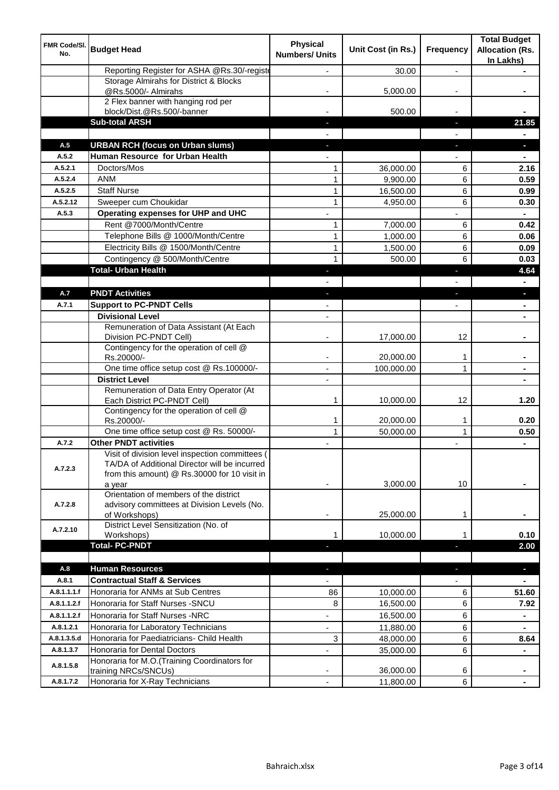| FMR Code/SI.<br>No. | <b>Budget Head</b>                                                                                                                                         | <b>Physical</b><br><b>Numbers/ Units</b> | Unit Cost (in Rs.) | Frequency      | <b>Total Budget</b><br><b>Allocation (Rs.</b><br>In Lakhs) |
|---------------------|------------------------------------------------------------------------------------------------------------------------------------------------------------|------------------------------------------|--------------------|----------------|------------------------------------------------------------|
|                     | Reporting Register for ASHA @Rs.30/-registe                                                                                                                |                                          | 30.00              | $\overline{a}$ |                                                            |
|                     | Storage Almirahs for District & Blocks<br>@Rs.5000/- Almirahs                                                                                              |                                          | 5,000.00           |                |                                                            |
|                     | 2 Flex banner with hanging rod per<br>block/Dist.@Rs.500/-banner                                                                                           |                                          | 500.00             |                |                                                            |
|                     | <b>Sub-total ARSH</b>                                                                                                                                      |                                          |                    | ı.             | 21.85                                                      |
|                     |                                                                                                                                                            |                                          |                    |                |                                                            |
| A.5                 | <b>URBAN RCH (focus on Urban slums)</b>                                                                                                                    |                                          |                    | J,             | o.                                                         |
| A.5.2               | Human Resource for Urban Health                                                                                                                            |                                          |                    |                |                                                            |
| A.5.2.1             | Doctors/Mos                                                                                                                                                | 1                                        | 36,000.00          | 6              | 2.16                                                       |
| A.5.2.4             | <b>ANM</b>                                                                                                                                                 | $\mathbf{1}$                             | 9,900.00           | 6              | 0.59                                                       |
| A.5.2.5             | <b>Staff Nurse</b>                                                                                                                                         | $\mathbf{1}$                             | 16,500.00          | 6              | 0.99                                                       |
| A.5.2.12            | Sweeper cum Choukidar                                                                                                                                      | 1                                        | 4,950.00           | 6              | 0.30                                                       |
| A.5.3               | Operating expenses for UHP and UHC                                                                                                                         |                                          |                    |                |                                                            |
|                     | Rent @7000/Month/Centre                                                                                                                                    | 1                                        | 7,000.00           | 6              | 0.42                                                       |
|                     | Telephone Bills @ 1000/Month/Centre                                                                                                                        | $\mathbf{1}$                             | 1,000.00           | 6              | 0.06                                                       |
|                     | Electricity Bills @ 1500/Month/Centre                                                                                                                      | $\mathbf{1}$                             | 1,500.00           | 6              | 0.09                                                       |
|                     | Contingency @ 500/Month/Centre                                                                                                                             | $\mathbf{1}$                             | 500.00             | 6              | 0.03                                                       |
|                     | <b>Total- Urban Health</b>                                                                                                                                 |                                          |                    | Е              | 4.64                                                       |
|                     |                                                                                                                                                            |                                          |                    |                |                                                            |
| A.7                 | <b>PNDT Activities</b>                                                                                                                                     |                                          |                    |                |                                                            |
| A.7.1               | <b>Support to PC-PNDT Cells</b>                                                                                                                            |                                          |                    |                |                                                            |
|                     | <b>Divisional Level</b>                                                                                                                                    | $\overline{\phantom{a}}$                 |                    |                |                                                            |
|                     | Remuneration of Data Assistant (At Each<br>Division PC-PNDT Cell)                                                                                          |                                          | 17,000.00          | 12             |                                                            |
|                     | Contingency for the operation of cell @<br>Rs.20000/-                                                                                                      |                                          | 20,000.00          | 1              |                                                            |
|                     | One time office setup cost @ Rs.100000/-                                                                                                                   | $\blacksquare$                           | 100,000.00         | 1              |                                                            |
|                     | <b>District Level</b>                                                                                                                                      |                                          |                    |                |                                                            |
|                     | Remuneration of Data Entry Operator (At<br>Each District PC-PNDT Cell)                                                                                     | 1                                        | 10,000.00          | 12             | 1.20                                                       |
|                     | Contingency for the operation of cell @<br>Rs.20000/-                                                                                                      | 1                                        | 20,000.00          | 1              | 0.20                                                       |
|                     | One time office setup cost @ Rs. 50000/-                                                                                                                   | $\mathbf{1}$                             | 50,000.00          | $\mathbf{1}$   | 0.50                                                       |
| A.7.2               | <b>Other PNDT activities</b>                                                                                                                               |                                          |                    |                | $\blacksquare$                                             |
| A.7.2.3             | Visit of division level inspection committees (<br>TA/DA of Additional Director will be incurred<br>from this amount) @ Rs.30000 for 10 visit in<br>a year |                                          | 3,000.00           | 10             |                                                            |
| A.7.2.8             | Orientation of members of the district<br>advisory committees at Division Levels (No.<br>of Workshops)                                                     | ٠                                        | 25,000.00          | 1              |                                                            |
| A.7.2.10            | District Level Sensitization (No. of<br>Workshops)                                                                                                         | 1                                        | 10,000.00          |                | 0.10                                                       |
|                     | <b>Total-PC-PNDT</b>                                                                                                                                       |                                          |                    |                | 2.00                                                       |
| A.8                 | <b>Human Resources</b>                                                                                                                                     |                                          |                    | ٠              | $\blacksquare$                                             |
| A.8.1               | <b>Contractual Staff &amp; Services</b>                                                                                                                    |                                          |                    |                |                                                            |
| A.8.1.1.1.f         | Honoraria for ANMs at Sub Centres                                                                                                                          | 86                                       | 10,000.00          | 6              | 51.60                                                      |
| A.8.1.1.2.f         | Honoraria for Staff Nurses - SNCU                                                                                                                          | 8                                        | 16,500.00          | 6              | 7.92                                                       |
| A.8.1.1.2.f         | Honoraria for Staff Nurses -NRC                                                                                                                            | ÷,                                       | 16,500.00          | 6              | $\blacksquare$                                             |
| A.8.1.2.1           | Honoraria for Laboratory Technicians                                                                                                                       | ÷,                                       | 11,880.00          | 6              | $\qquad \qquad \blacksquare$                               |
| A.8.1.3.5.d         | Honoraria for Paediatricians- Child Health                                                                                                                 | 3                                        | 48,000.00          | 6              | 8.64                                                       |
| A.8.1.3.7           | Honoraria for Dental Doctors                                                                                                                               |                                          | 35,000.00          | 6              | $\blacksquare$                                             |
| A.8.1.5.8           | Honoraria for M.O.(Training Coordinators for<br>training NRCs/SNCUs)                                                                                       |                                          | 36,000.00          | 6              |                                                            |
| A.8.1.7.2           | Honoraria for X-Ray Technicians                                                                                                                            | ÷,                                       | 11,800.00          | 6              |                                                            |
|                     |                                                                                                                                                            |                                          |                    |                |                                                            |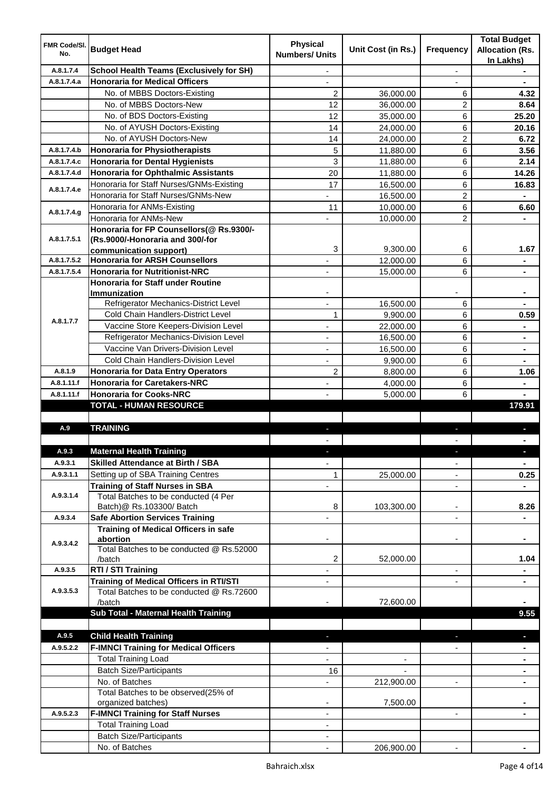| FMR Code/SI. |                                                                                | <b>Physical</b>          | Unit Cost (in Rs.)       |                          | <b>Total Budget</b>                 |
|--------------|--------------------------------------------------------------------------------|--------------------------|--------------------------|--------------------------|-------------------------------------|
| No.          | <b>Budget Head</b>                                                             | <b>Numbers/ Units</b>    |                          | Frequency                | <b>Allocation (Rs.</b><br>In Lakhs) |
| A.8.1.7.4    | <b>School Health Teams (Exclusively for SH)</b>                                |                          |                          |                          |                                     |
| A.8.1.7.4.a  | <b>Honoraria for Medical Officers</b>                                          |                          |                          |                          |                                     |
|              | No. of MBBS Doctors-Existing                                                   | 2                        | 36,000.00                | 6                        | 4.32                                |
|              | No. of MBBS Doctors-New                                                        | 12                       | 36,000.00                | 2                        | 8.64                                |
|              | No. of BDS Doctors-Existing                                                    | 12                       | 35,000.00                | 6                        | 25.20                               |
|              | No. of AYUSH Doctors-Existing                                                  | 14                       | 24,000.00                | 6                        | 20.16                               |
|              | No. of AYUSH Doctors-New                                                       | 14                       | 24,000.00                | 2                        | 6.72                                |
| A.8.1.7.4.b  | <b>Honoraria for Physiotherapists</b>                                          | 5                        | 11,880.00                | 6                        | 3.56                                |
| A.8.1.7.4.c  | <b>Honoraria for Dental Hygienists</b>                                         | 3                        | 11,880.00                | 6                        | 2.14                                |
| A.8.1.7.4.d  | <b>Honoraria for Ophthalmic Assistants</b>                                     | 20                       | 11,880.00                | 6                        | 14.26                               |
| A.8.1.7.4.e  | Honoraria for Staff Nurses/GNMs-Existing                                       | 17                       | 16,500.00                | 6                        | 16.83                               |
|              | Honoraria for Staff Nurses/GNMs-New                                            |                          | 16,500.00                | 2                        |                                     |
| A.8.1.7.4.g  | Honoraria for ANMs-Existing                                                    | 11                       | 10,000.00                | 6                        | 6.60                                |
|              | Honoraria for ANMs-New                                                         |                          | 10,000.00                | $\overline{2}$           |                                     |
|              | Honoraria for FP Counsellors(@ Rs.9300/-                                       |                          |                          |                          |                                     |
| A.8.1.7.5.1  | (Rs.9000/-Honoraria and 300/-for                                               |                          |                          |                          |                                     |
|              | communication support)                                                         | 3                        | 9,300.00                 | 6                        | 1.67                                |
| A.8.1.7.5.2  | <b>Honoraria for ARSH Counsellors</b>                                          | ٠                        | 12,000.00                | 6                        | $\blacksquare$                      |
| A.8.1.7.5.4  | <b>Honoraria for Nutritionist-NRC</b>                                          | $\overline{\phantom{a}}$ | 15,000.00                | 6                        | $\blacksquare$                      |
|              | <b>Honoraria for Staff under Routine</b>                                       |                          |                          |                          |                                     |
|              | <b>Immunization</b>                                                            |                          |                          |                          | $\blacksquare$                      |
|              | Refrigerator Mechanics-District Level                                          | ä,                       | 16,500.00                | 6                        |                                     |
| A.8.1.7.7    | Cold Chain Handlers-District Level                                             | 1                        | 9,900.00                 | 6                        | 0.59                                |
|              | Vaccine Store Keepers-Division Level                                           |                          | 22,000.00                | 6                        |                                     |
|              | Refrigerator Mechanics-Division Level                                          | ä,                       | 16,500.00                | 6                        | $\blacksquare$                      |
|              | Vaccine Van Drivers-Division Level                                             | ä,                       | 16,500.00                | 6                        | $\blacksquare$                      |
|              | Cold Chain Handlers-Division Level                                             |                          | 9,900.00                 | 6                        |                                     |
| A.8.1.9      | <b>Honoraria for Data Entry Operators</b>                                      | 2                        | 8,800.00                 | 6                        | 1.06                                |
| A.8.1.11.f   | <b>Honoraria for Caretakers-NRC</b>                                            |                          | 4,000.00                 | 6                        |                                     |
| A.8.1.11.f   | <b>Honoraria for Cooks-NRC</b>                                                 |                          | 5,000.00                 | 6                        |                                     |
|              | <b>TOTAL - HUMAN RESOURCE</b>                                                  |                          |                          |                          | 179.91                              |
| A.9          | <b>TRAINING</b>                                                                |                          |                          |                          |                                     |
|              |                                                                                |                          |                          | ٠                        |                                     |
| A.9.3        | <b>Maternal Health Training</b>                                                |                          |                          |                          |                                     |
| A.9.3.1      | <b>Skilled Attendance at Birth / SBA</b>                                       |                          |                          |                          |                                     |
| A.9.3.1.1    |                                                                                | $\overline{\phantom{a}}$ | 25,000.00                | ۰                        | $\blacksquare$                      |
|              | Setting up of SBA Training Centres                                             | 1                        |                          | ۰                        | 0.25                                |
| A.9.3.1.4    | <b>Training of Staff Nurses in SBA</b><br>Total Batches to be conducted (4 Per | ä,                       |                          | $\overline{\phantom{a}}$ |                                     |
|              | Batch)@ Rs.103300/ Batch                                                       | 8                        | 103,300.00               | $\overline{\phantom{a}}$ | 8.26                                |
| A.9.3.4      | <b>Safe Abortion Services Training</b>                                         |                          |                          | L,                       |                                     |
|              | <b>Training of Medical Officers in safe</b>                                    |                          |                          |                          |                                     |
|              | abortion                                                                       |                          |                          |                          |                                     |
| A.9.3.4.2    | Total Batches to be conducted @ Rs.52000                                       |                          |                          |                          |                                     |
|              | /batch                                                                         | 2                        | 52,000.00                |                          | 1.04                                |
| A.9.3.5      | RTI / STI Training                                                             | $\overline{\phantom{a}}$ |                          | $\overline{\phantom{a}}$ | $\blacksquare$                      |
|              | <b>Training of Medical Officers in RTI/STI</b>                                 | $\overline{\phantom{a}}$ |                          | $\overline{\phantom{a}}$ | $\blacksquare$                      |
| A.9.3.5.3    | Total Batches to be conducted @ Rs.72600                                       |                          |                          |                          |                                     |
|              | /batch                                                                         |                          | 72,600.00                |                          |                                     |
|              | Sub Total - Maternal Health Training                                           |                          |                          |                          | 9.55                                |
|              |                                                                                |                          |                          |                          |                                     |
| A.9.5        | <b>Child Health Training</b>                                                   |                          |                          | ٠                        | $\blacksquare$                      |
| A.9.5.2.2    | <b>F-IMNCI Training for Medical Officers</b>                                   |                          |                          |                          |                                     |
|              | <b>Total Training Load</b>                                                     | $\overline{\phantom{0}}$ | $\overline{\phantom{a}}$ |                          | $\blacksquare$                      |
|              | <b>Batch Size/Participants</b>                                                 | 16                       |                          |                          |                                     |
|              | No. of Batches                                                                 |                          | 212,900.00               | $\overline{\phantom{a}}$ | ۰                                   |
|              | Total Batches to be observed(25% of                                            |                          |                          |                          |                                     |
|              | organized batches)                                                             |                          | 7,500.00                 |                          |                                     |
| A.9.5.2.3    | <b>F-IMNCI Training for Staff Nurses</b>                                       | ۰                        |                          | $\overline{\phantom{a}}$ |                                     |
|              | <b>Total Training Load</b>                                                     | ۰                        |                          |                          |                                     |
|              | <b>Batch Size/Participants</b>                                                 |                          |                          |                          |                                     |
|              | No. of Batches                                                                 |                          | 206,900.00               |                          |                                     |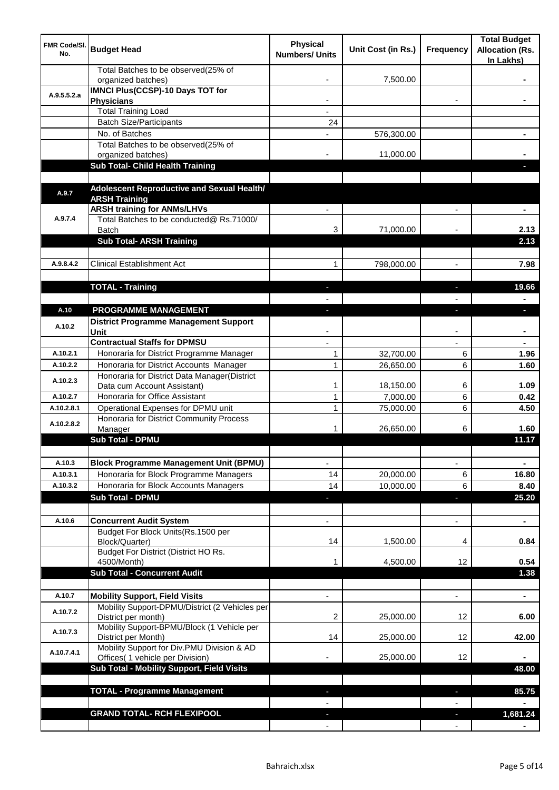| <b>FMR Code/SI.</b><br>No. | <b>Budget Head</b>                                                             | <b>Physical</b><br><b>Numbers/ Units</b> | Unit Cost (in Rs.) | Frequency                | <b>Total Budget</b><br><b>Allocation (Rs.</b><br>In Lakhs) |
|----------------------------|--------------------------------------------------------------------------------|------------------------------------------|--------------------|--------------------------|------------------------------------------------------------|
|                            | Total Batches to be observed(25% of<br>organized batches)                      |                                          | 7,500.00           |                          |                                                            |
| A.9.5.5.2.a                | <b>IMNCI Plus(CCSP)-10 Days TOT for</b>                                        |                                          |                    |                          |                                                            |
|                            | <b>Physicians</b><br><b>Total Training Load</b>                                |                                          |                    |                          |                                                            |
|                            | <b>Batch Size/Participants</b>                                                 | 24                                       |                    |                          |                                                            |
|                            | No. of Batches                                                                 |                                          | 576,300.00         |                          |                                                            |
|                            | Total Batches to be observed(25% of                                            |                                          |                    |                          |                                                            |
|                            | organized batches)                                                             |                                          | 11,000.00          |                          |                                                            |
|                            | Sub Total- Child Health Training                                               |                                          |                    |                          |                                                            |
|                            |                                                                                |                                          |                    |                          |                                                            |
| A.9.7                      | Adolescent Reproductive and Sexual Health/                                     |                                          |                    |                          |                                                            |
|                            | <b>ARSH Training</b><br><b>ARSH training for ANMs/LHVs</b>                     |                                          |                    |                          |                                                            |
| A.9.7.4                    | Total Batches to be conducted@ Rs.71000/                                       |                                          |                    |                          |                                                            |
|                            | <b>Batch</b>                                                                   | 3                                        | 71,000.00          |                          | 2.13                                                       |
|                            | <b>Sub Total- ARSH Training</b>                                                |                                          |                    |                          | 2.13                                                       |
|                            |                                                                                |                                          |                    |                          |                                                            |
| A.9.8.4.2                  | <b>Clinical Establishment Act</b>                                              | 1                                        | 798,000.00         | $\overline{a}$           | 7.98                                                       |
|                            |                                                                                |                                          |                    |                          |                                                            |
|                            | <b>TOTAL - Training</b>                                                        |                                          |                    |                          | 19.66                                                      |
|                            |                                                                                |                                          |                    |                          |                                                            |
| A.10                       | PROGRAMME MANAGEMENT                                                           |                                          |                    |                          | a.                                                         |
| A.10.2                     | <b>District Programme Management Support</b>                                   |                                          |                    |                          |                                                            |
|                            | Unit<br><b>Contractual Staffs for DPMSU</b>                                    |                                          |                    |                          |                                                            |
| A.10.2.1                   | Honoraria for District Programme Manager                                       | 1                                        | 32,700.00          | 6                        | 1.96                                                       |
| A.10.2.2                   | Honoraria for District Accounts Manager                                        | $\mathbf{1}$                             | 26,650.00          | 6                        | 1.60                                                       |
|                            | Honoraria for District Data Manager(District                                   |                                          |                    |                          |                                                            |
| A.10.2.3                   | Data cum Account Assistant)                                                    | 1                                        | 18,150.00          | 6                        | 1.09                                                       |
| A.10.2.7                   | Honoraria for Office Assistant                                                 | 1                                        | 7,000.00           | 6                        | 0.42                                                       |
| A.10.2.8.1                 | Operational Expenses for DPMU unit                                             | 1                                        | 75,000.00          | 6                        | 4.50                                                       |
| A.10.2.8.2                 | Honoraria for District Community Process                                       |                                          |                    |                          |                                                            |
|                            | Manager<br><b>Sub Total - DPMU</b>                                             | 1                                        | 26,650.00          | 6                        | 1.60<br>11.17                                              |
|                            |                                                                                |                                          |                    |                          |                                                            |
| A.10.3                     | <b>Block Programme Management Unit (BPMU)</b>                                  | $\overline{\phantom{a}}$                 |                    | $\overline{\phantom{a}}$ | $\blacksquare$                                             |
| A.10.3.1                   | Honoraria for Block Programme Managers                                         | 14                                       | 20,000.00          | 6                        | 16.80                                                      |
| A.10.3.2                   | Honoraria for Block Accounts Managers                                          | 14                                       | 10,000.00          | 6                        | 8.40                                                       |
|                            | <b>Sub Total - DPMU</b>                                                        | ٠                                        |                    | J,                       | 25.20                                                      |
|                            |                                                                                |                                          |                    |                          |                                                            |
| A.10.6                     | <b>Concurrent Audit System</b>                                                 |                                          |                    | $\overline{\phantom{0}}$ | $\blacksquare$                                             |
|                            | Budget For Block Units(Rs.1500 per                                             |                                          |                    |                          |                                                            |
|                            | Block/Quarter)                                                                 | 14                                       | 1,500.00           | 4                        | 0.84                                                       |
|                            | Budget For District (District HO Rs.                                           |                                          |                    | 12                       | 0.54                                                       |
|                            | 4500/Month)<br><b>Sub Total - Concurrent Audit</b>                             |                                          | 4,500.00           |                          | 1.38                                                       |
|                            |                                                                                |                                          |                    |                          |                                                            |
| A.10.7                     | <b>Mobility Support, Field Visits</b>                                          |                                          |                    | $\overline{a}$           | ä,                                                         |
|                            | Mobility Support-DPMU/District (2 Vehicles per                                 |                                          |                    |                          |                                                            |
| A.10.7.2                   | District per month)                                                            | 2                                        | 25,000.00          | 12                       | 6.00                                                       |
| A.10.7.3                   | Mobility Support-BPMU/Block (1 Vehicle per                                     |                                          |                    |                          |                                                            |
|                            | District per Month)                                                            | 14                                       | 25,000.00          | 12                       | 42.00                                                      |
| A.10.7.4.1                 | Mobility Support for Div.PMU Division & AD<br>Offices( 1 vehicle per Division) |                                          | 25,000.00          | 12                       |                                                            |
|                            | Sub Total - Mobility Support, Field Visits                                     |                                          |                    |                          | 48.00                                                      |
|                            |                                                                                |                                          |                    |                          |                                                            |
|                            | <b>TOTAL - Programme Management</b>                                            |                                          |                    | ı.                       | 85.75                                                      |
|                            |                                                                                |                                          |                    |                          |                                                            |
|                            | <b>GRAND TOTAL- RCH FLEXIPOOL</b>                                              |                                          |                    | a,                       | 1,681.24                                                   |
|                            |                                                                                |                                          |                    |                          |                                                            |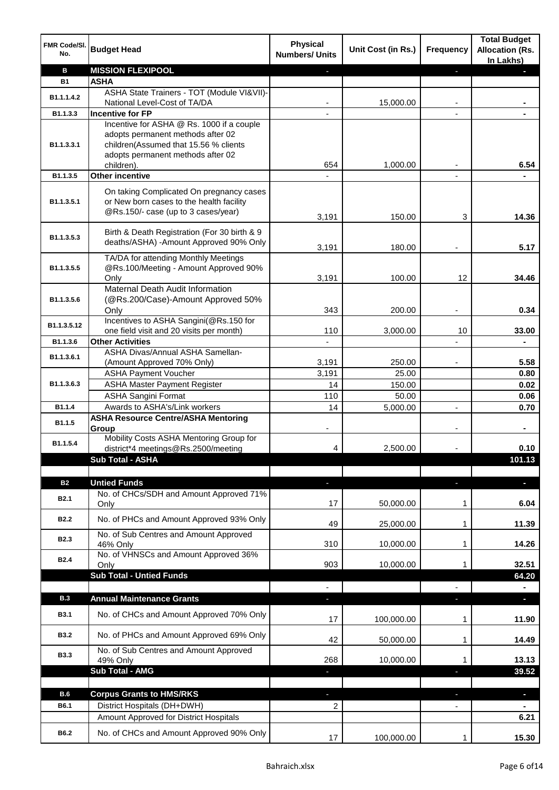| FMR Code/SI.<br>No. | <b>Budget Head</b>                                                              | <b>Physical</b><br><b>Numbers/ Units</b> | Unit Cost (in Rs.) | <b>Frequency</b>         | <b>Total Budget</b><br><b>Allocation (Rs.</b><br>In Lakhs) |
|---------------------|---------------------------------------------------------------------------------|------------------------------------------|--------------------|--------------------------|------------------------------------------------------------|
| в                   | <b>MISSION FLEXIPOOL</b>                                                        |                                          |                    | E.                       |                                                            |
| <b>B1</b>           | <b>ASHA</b>                                                                     |                                          |                    |                          |                                                            |
| B1.1.1.4.2          | ASHA State Trainers - TOT (Module VI&VII)-                                      |                                          |                    |                          |                                                            |
|                     | National Level-Cost of TA/DA                                                    |                                          | 15,000.00          |                          |                                                            |
| B1.1.3.3            | <b>Incentive for FP</b>                                                         |                                          |                    |                          |                                                            |
|                     | Incentive for ASHA @ Rs. 1000 if a couple                                       |                                          |                    |                          |                                                            |
| B1.1.3.3.1          | adopts permanent methods after 02                                               |                                          |                    |                          |                                                            |
|                     | children(Assumed that 15.56 % clients<br>adopts permanent methods after 02      |                                          |                    |                          |                                                            |
|                     | children).                                                                      | 654                                      | 1,000.00           |                          | 6.54                                                       |
| B1.1.3.5            | Other incentive                                                                 |                                          |                    |                          |                                                            |
|                     |                                                                                 |                                          |                    |                          |                                                            |
|                     | On taking Complicated On pregnancy cases                                        |                                          |                    |                          |                                                            |
| B1.1.3.5.1          | or New born cases to the health facility<br>@Rs.150/- case (up to 3 cases/year) |                                          |                    |                          |                                                            |
|                     |                                                                                 | 3,191                                    | 150.00             | 3                        | 14.36                                                      |
|                     | Birth & Death Registration (For 30 birth & 9                                    |                                          |                    |                          |                                                            |
| B1.1.3.5.3          | deaths/ASHA) -Amount Approved 90% Only                                          |                                          |                    |                          |                                                            |
|                     | TA/DA for attending Monthly Meetings                                            | 3,191                                    | 180.00             |                          | 5.17                                                       |
| B1.1.3.5.5          | @Rs.100/Meeting - Amount Approved 90%                                           |                                          |                    |                          |                                                            |
|                     | Only                                                                            | 3,191                                    | 100.00             | 12                       | 34.46                                                      |
|                     | Maternal Death Audit Information                                                |                                          |                    |                          |                                                            |
| B1.1.3.5.6          | (@Rs.200/Case)-Amount Approved 50%                                              |                                          |                    |                          |                                                            |
|                     | Only                                                                            | 343                                      | 200.00             |                          | 0.34                                                       |
| B1.1.3.5.12         | Incentives to ASHA Sangini(@Rs.150 for                                          |                                          |                    |                          |                                                            |
|                     | one field visit and 20 visits per month)                                        | 110                                      | 3,000.00           | 10                       | 33.00                                                      |
| B1.1.3.6            | <b>Other Activities</b>                                                         |                                          |                    |                          |                                                            |
| B1.1.3.6.1          | ASHA Divas/Annual ASHA Samellan-                                                |                                          |                    |                          |                                                            |
|                     | (Amount Approved 70% Only)                                                      | 3,191                                    | 250.00             |                          | 5.58                                                       |
|                     | <b>ASHA Payment Voucher</b>                                                     | 3,191                                    | 25.00              |                          | 0.80                                                       |
| B1.1.3.6.3          | <b>ASHA Master Payment Register</b>                                             | 14                                       | 150.00             |                          | 0.02                                                       |
|                     | <b>ASHA Sangini Format</b>                                                      | 110                                      | 50.00              |                          | 0.06                                                       |
| B1.1.4              | Awards to ASHA's/Link workers<br><b>ASHA Resource Centre/ASHA Mentoring</b>     | 14                                       | 5,000.00           | $\overline{\phantom{a}}$ | 0.70                                                       |
| B1.1.5              | Group                                                                           |                                          |                    |                          |                                                            |
|                     | Mobility Costs ASHA Mentoring Group for                                         |                                          |                    |                          |                                                            |
| B1.1.5.4            | district*4 meetings@Rs.2500/meeting                                             | 4                                        | 2,500.00           |                          | 0.10                                                       |
|                     | Sub Total - ASHA                                                                |                                          |                    |                          | 101.13                                                     |
|                     |                                                                                 |                                          |                    |                          |                                                            |
| <b>B2</b>           | <b>Untied Funds</b>                                                             | ٠                                        |                    | J,                       |                                                            |
| <b>B2.1</b>         | No. of CHCs/SDH and Amount Approved 71%                                         |                                          |                    |                          |                                                            |
|                     | Only                                                                            | 17                                       | 50,000.00          | 1                        | 6.04                                                       |
| <b>B2.2</b>         | No. of PHCs and Amount Approved 93% Only                                        |                                          |                    |                          |                                                            |
|                     | No. of Sub Centres and Amount Approved                                          | 49                                       | 25,000.00          | 1                        | 11.39                                                      |
| <b>B2.3</b>         | 46% Only                                                                        | 310                                      | 10,000.00          | 1                        | 14.26                                                      |
|                     | No. of VHNSCs and Amount Approved 36%                                           |                                          |                    |                          |                                                            |
| <b>B2.4</b>         | Only                                                                            | 903                                      | 10,000.00          | 1                        | 32.51                                                      |
|                     | <b>Sub Total - Untied Funds</b>                                                 |                                          |                    |                          | 64.20                                                      |
|                     |                                                                                 | $\frac{1}{2}$                            |                    |                          |                                                            |
| <b>B.3</b>          | <b>Annual Maintenance Grants</b>                                                | ٠                                        |                    | ٠                        | $\blacksquare$                                             |
| <b>B3.1</b>         | No. of CHCs and Amount Approved 70% Only                                        |                                          |                    |                          |                                                            |
|                     |                                                                                 | 17                                       | 100,000.00         | 1                        | 11.90                                                      |
| <b>B3.2</b>         | No. of PHCs and Amount Approved 69% Only                                        |                                          |                    |                          |                                                            |
|                     | No. of Sub Centres and Amount Approved                                          | 42                                       | 50,000.00          | 1                        | 14.49                                                      |
| <b>B3.3</b>         | 49% Only                                                                        | 268                                      | 10,000.00          | 1                        | 13.13                                                      |
|                     | Sub Total - AMG                                                                 | J,                                       |                    | ı                        | 39.52                                                      |
|                     |                                                                                 |                                          |                    |                          |                                                            |
| B.6                 | <b>Corpus Grants to HMS/RKS</b>                                                 | ٠                                        |                    | ٠                        | Ξ.                                                         |
| B6.1                | District Hospitals (DH+DWH)                                                     | $\overline{2}$                           |                    | $\overline{\phantom{a}}$ | $\blacksquare$                                             |
|                     | Amount Approved for District Hospitals                                          |                                          |                    |                          | 6.21                                                       |
|                     |                                                                                 |                                          |                    |                          |                                                            |
| B6.2                | No. of CHCs and Amount Approved 90% Only                                        | 17                                       | 100,000.00         | 1                        | 15.30                                                      |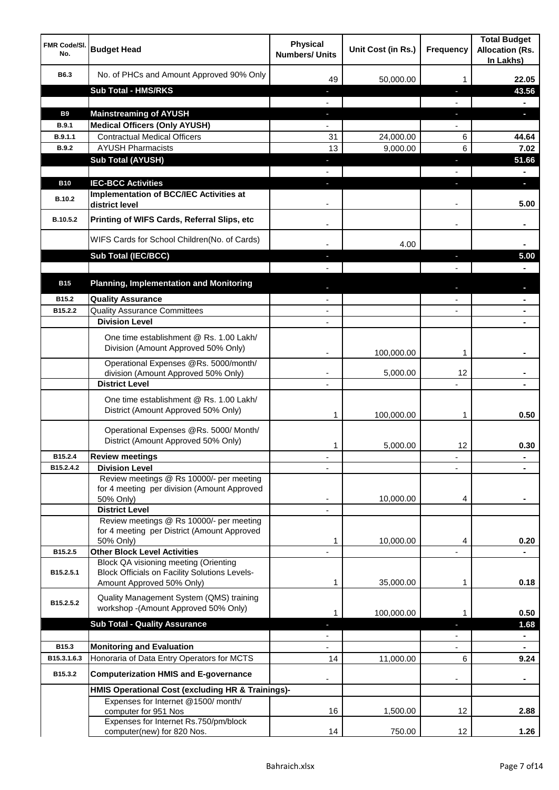| <b>FMR Code/SI.</b><br>No. | <b>Budget Head</b>                                                                                   | <b>Physical</b><br><b>Numbers/ Units</b>             | Unit Cost (in Rs.) | <b>Frequency</b>  | <b>Total Budget</b><br><b>Allocation (Rs.</b><br>In Lakhs) |
|----------------------------|------------------------------------------------------------------------------------------------------|------------------------------------------------------|--------------------|-------------------|------------------------------------------------------------|
| B6.3                       | No. of PHCs and Amount Approved 90% Only                                                             | 49                                                   | 50,000.00          | 1                 | 22.05                                                      |
|                            | <b>Sub Total - HMS/RKS</b>                                                                           | ٠                                                    |                    | J,                | 43.56                                                      |
|                            |                                                                                                      |                                                      |                    |                   |                                                            |
| <b>B9</b>                  | <b>Mainstreaming of AYUSH</b>                                                                        | o,                                                   |                    | T                 | a.                                                         |
| B.9.1                      | <b>Medical Officers (Only AYUSH)</b>                                                                 |                                                      |                    |                   |                                                            |
| B.9.1.1                    | <b>Contractual Medical Officers</b>                                                                  | 31                                                   | 24,000.00          | 6                 | 44.64                                                      |
| <b>B.9.2</b>               | <b>AYUSH Pharmacists</b>                                                                             | 13                                                   | 9,000.00           | 6                 | 7.02                                                       |
|                            | <b>Sub Total (AYUSH)</b>                                                                             | J,                                                   |                    | J,                | 51.66                                                      |
|                            |                                                                                                      |                                                      |                    |                   |                                                            |
| <b>B10</b>                 | <b>IEC-BCC Activities</b>                                                                            |                                                      |                    | ı.                | н                                                          |
| <b>B.10.2</b>              | <b>Implementation of BCC/IEC Activities at</b><br>district level                                     |                                                      |                    |                   | 5.00                                                       |
| B.10.5.2                   | Printing of WIFS Cards, Referral Slips, etc                                                          |                                                      |                    | $\blacksquare$    |                                                            |
|                            | WIFS Cards for School Children(No. of Cards)                                                         |                                                      | 4.00               |                   |                                                            |
|                            | Sub Total (IEC/BCC)                                                                                  |                                                      |                    | ı                 | 5.00                                                       |
|                            |                                                                                                      |                                                      |                    |                   |                                                            |
| <b>B15</b>                 | <b>Planning, Implementation and Monitoring</b>                                                       |                                                      |                    |                   |                                                            |
| B15.2                      | <b>Quality Assurance</b>                                                                             |                                                      |                    |                   |                                                            |
| B15.2.2                    | <b>Quality Assurance Committees</b>                                                                  | $\overline{\phantom{a}}$                             |                    |                   |                                                            |
|                            | <b>Division Level</b>                                                                                | $\blacksquare$                                       |                    |                   | $\blacksquare$                                             |
|                            | One time establishment @ Rs. 1.00 Lakh/<br>Division (Amount Approved 50% Only)                       |                                                      |                    |                   |                                                            |
|                            | Operational Expenses @Rs. 5000/month/                                                                |                                                      | 100,000.00         | 1                 |                                                            |
|                            | division (Amount Approved 50% Only)<br><b>District Level</b>                                         | $\overline{\phantom{a}}$<br>$\overline{\phantom{a}}$ | 5,000.00           | 12                |                                                            |
|                            | One time establishment @ Rs. 1.00 Lakh/<br>District (Amount Approved 50% Only)                       | 1                                                    | 100,000.00         | 1                 | 0.50                                                       |
|                            | Operational Expenses @Rs. 5000/ Month/<br>District (Amount Approved 50% Only)                        | 1                                                    | 5,000.00           | 12                | 0.30                                                       |
| B15.2.4                    | <b>Review meetings</b>                                                                               |                                                      |                    | ٠                 |                                                            |
| B15.2.4.2                  | <b>Division Level</b>                                                                                |                                                      |                    |                   |                                                            |
|                            | Review meetings @ Rs 10000/- per meeting<br>for 4 meeting per division (Amount Approved<br>50% Only) |                                                      | 10,000.00          | 4                 |                                                            |
|                            | <b>District Level</b><br>Review meetings @ Rs 10000/- per meeting                                    |                                                      |                    |                   |                                                            |
|                            | for 4 meeting per District (Amount Approved                                                          |                                                      |                    |                   |                                                            |
|                            | 50% Only)                                                                                            | 1                                                    | 10,000.00          | 4                 | 0.20                                                       |
| B15.2.5                    | <b>Other Block Level Activities</b>                                                                  |                                                      |                    |                   |                                                            |
| B15.2.5.1                  | Block QA visioning meeting (Orienting<br><b>Block Officials on Facility Solutions Levels-</b>        |                                                      |                    |                   |                                                            |
|                            | Amount Approved 50% Only)                                                                            | 1                                                    | 35,000.00          | 1                 | 0.18                                                       |
| B15.2.5.2                  | Quality Management System (QMS) training<br>workshop -(Amount Approved 50% Only)                     | 1                                                    | 100,000.00         | 1                 | 0.50                                                       |
|                            | <b>Sub Total - Quality Assurance</b>                                                                 |                                                      |                    |                   | 1.68                                                       |
|                            |                                                                                                      |                                                      |                    |                   | $\blacksquare$                                             |
| B15.3                      | <b>Monitoring and Evaluation</b>                                                                     |                                                      |                    |                   |                                                            |
| B15.3.1.6.3                | Honoraria of Data Entry Operators for MCTS                                                           | 14                                                   | 11,000.00          | 6                 | 9.24                                                       |
| B15.3.2                    | <b>Computerization HMIS and E-governance</b>                                                         |                                                      |                    |                   |                                                            |
|                            | HMIS Operational Cost (excluding HR & Trainings)-                                                    |                                                      |                    |                   |                                                            |
|                            | Expenses for Internet @1500/month/<br>computer for 951 Nos                                           | 16                                                   | 1,500.00           | 12                | 2.88                                                       |
|                            | Expenses for Internet Rs.750/pm/block<br>computer(new) for 820 Nos.                                  | 14                                                   | 750.00             | $12 \overline{ }$ | 1.26                                                       |
|                            |                                                                                                      |                                                      |                    |                   |                                                            |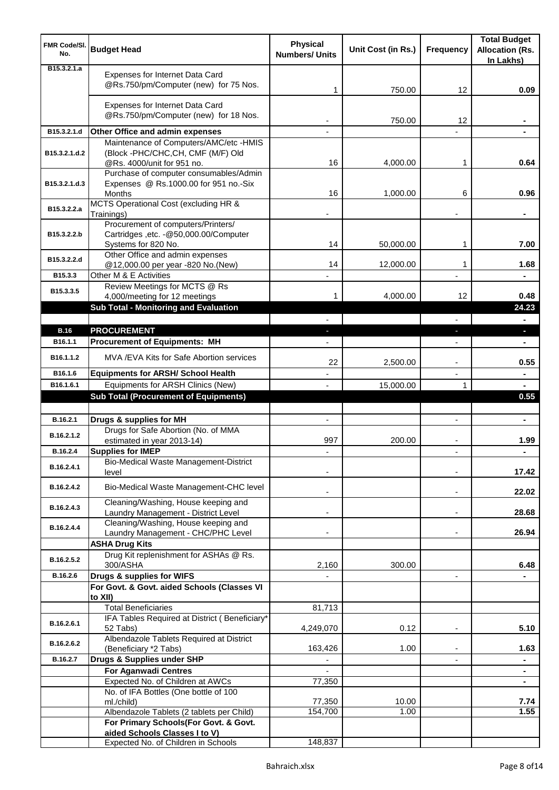| <b>FMR Code/SI.</b><br>No. | <b>Budget Head</b>                                                                                   | <b>Physical</b><br><b>Numbers/ Units</b> | Unit Cost (in Rs.) | <b>Frequency</b>         | <b>Total Budget</b><br><b>Allocation (Rs.</b><br>In Lakhs) |
|----------------------------|------------------------------------------------------------------------------------------------------|------------------------------------------|--------------------|--------------------------|------------------------------------------------------------|
| B15.3.2.1.a                | Expenses for Internet Data Card<br>@Rs.750/pm/Computer (new) for 75 Nos.                             | 1                                        | 750.00             | 12                       | 0.09                                                       |
|                            | Expenses for Internet Data Card<br>@Rs.750/pm/Computer (new) for 18 Nos.                             |                                          | 750.00             | 12                       |                                                            |
| B15.3.2.1.d                | Other Office and admin expenses                                                                      |                                          |                    |                          |                                                            |
| B15.3.2.1.d.2              | Maintenance of Computers/AMC/etc -HMIS<br>(Block -PHC/CHC,CH, CMF (M/F) Old                          |                                          |                    |                          |                                                            |
|                            | @Rs. 4000/unit for 951 no.<br>Purchase of computer consumables/Admin                                 | 16                                       | 4,000.00           | 1                        | 0.64                                                       |
| B15.3.2.1.d.3              | Expenses @ Rs.1000.00 for 951 no.-Six<br><b>Months</b>                                               | 16                                       | 1,000.00           | 6                        | 0.96                                                       |
| B15.3.2.2.a                | MCTS Operational Cost (excluding HR &<br>Trainings)                                                  |                                          |                    |                          |                                                            |
| B15.3.2.2.b                | Procurement of computers/Printers/<br>Cartridges , etc. - @50,000.00/Computer<br>Systems for 820 No. | 14                                       | 50,000.00          | 1                        | 7.00                                                       |
| B15.3.2.2.d                | Other Office and admin expenses                                                                      |                                          |                    |                          |                                                            |
|                            | @12,000.00 per year -820 No.(New)                                                                    | 14                                       | 12,000.00          | 1                        | 1.68                                                       |
| B15.3.3                    | Other M & E Activities<br>Review Meetings for MCTS @ Rs                                              |                                          |                    |                          |                                                            |
| B15.3.3.5                  | 4,000/meeting for 12 meetings                                                                        | 1                                        | 4,000.00           | 12                       | 0.48                                                       |
|                            | <b>Sub Total - Monitoring and Evaluation</b>                                                         |                                          |                    |                          | 24.23                                                      |
|                            |                                                                                                      |                                          |                    |                          |                                                            |
| <b>B.16</b>                | <b>PROCUREMENT</b>                                                                                   |                                          |                    |                          | ы                                                          |
| B <sub>16.1.1</sub>        | <b>Procurement of Equipments: MH</b>                                                                 |                                          |                    |                          |                                                            |
| B16.1.1.2                  | MVA / EVA Kits for Safe Abortion services                                                            | 22                                       | 2,500.00           | $\overline{\phantom{a}}$ | 0.55                                                       |
| B16.1.6                    | <b>Equipments for ARSH/ School Health</b>                                                            |                                          |                    | $\overline{\phantom{a}}$ | $\blacksquare$                                             |
| B16.1.6.1                  | Equipments for ARSH Clinics (New)<br><b>Sub Total (Procurement of Equipments)</b>                    | $\mathbf{r}$                             | 15,000.00          | 1                        | 0.55                                                       |
|                            |                                                                                                      |                                          |                    |                          |                                                            |
| B.16.2.1                   | Drugs & supplies for MH                                                                              |                                          |                    |                          |                                                            |
| B.16.2.1.2                 | Drugs for Safe Abortion (No. of MMA<br>estimated in year 2013-14)                                    | 997                                      | 200.00             |                          | 1.99                                                       |
| B.16.2.4                   | <b>Supplies for IMEP</b>                                                                             |                                          |                    |                          |                                                            |
| B.16.2.4.1                 | <b>Bio-Medical Waste Management-District</b><br>level                                                |                                          |                    |                          | 17.42                                                      |
| B.16.2.4.2                 | Bio-Medical Waste Management-CHC level                                                               |                                          |                    | -                        | 22.02                                                      |
| B.16.2.4.3                 | Cleaning/Washing, House keeping and<br>Laundry Management - District Level                           |                                          |                    |                          | 28.68                                                      |
| B.16.2.4.4                 | Cleaning/Washing, House keeping and<br>Laundry Management - CHC/PHC Level                            |                                          |                    |                          | 26.94                                                      |
|                            | <b>ASHA Drug Kits</b>                                                                                |                                          |                    |                          |                                                            |
| B.16.2.5.2                 | Drug Kit replenishment for ASHAs @ Rs.<br>300/ASHA                                                   | 2,160                                    | 300.00             |                          | 6.48                                                       |
| B.16.2.6                   | Drugs & supplies for WIFS                                                                            |                                          |                    | $\blacksquare$           |                                                            |
|                            | For Govt. & Govt. aided Schools (Classes VI<br>to XII)                                               |                                          |                    |                          |                                                            |
|                            | <b>Total Beneficiaries</b>                                                                           | 81,713                                   |                    |                          |                                                            |
| B.16.2.6.1                 | IFA Tables Required at District (Beneficiary*<br>52 Tabs)                                            | 4,249,070                                | 0.12               |                          | 5.10                                                       |
| B.16.2.6.2                 | Albendazole Tablets Required at District<br>(Beneficiary *2 Tabs)                                    | 163,426                                  | 1.00               |                          | 1.63                                                       |
| B.16.2.7                   | Drugs & Supplies under SHP                                                                           | ٠                                        |                    |                          | ٠                                                          |
|                            | <b>For Aganwadi Centres</b><br>Expected No. of Children at AWCs                                      | 77,350                                   |                    |                          | $\blacksquare$<br>۰                                        |
|                            | No. of IFA Bottles (One bottle of 100                                                                |                                          |                    |                          |                                                            |
|                            | ml./child)                                                                                           | 77,350                                   | 10.00              |                          | 7.74                                                       |
|                            | Albendazole Tablets (2 tablets per Child)                                                            | 154,700                                  | 1.00               |                          | 1.55                                                       |
|                            | For Primary Schools(For Govt. & Govt.<br>aided Schools Classes I to V)                               |                                          |                    |                          |                                                            |
|                            | Expected No. of Children in Schools                                                                  | 148,837                                  |                    |                          |                                                            |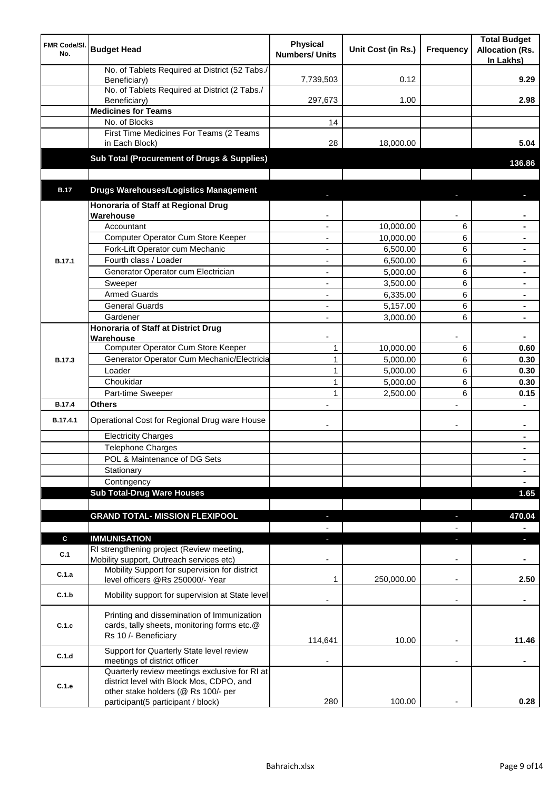| FMR Code/SI.<br>No. | <b>Budget Head</b>                                                                                                        | <b>Physical</b><br><b>Numbers/ Units</b> | Unit Cost (in Rs.) | Frequency                | <b>Total Budget</b><br><b>Allocation (Rs.</b><br>In Lakhs) |
|---------------------|---------------------------------------------------------------------------------------------------------------------------|------------------------------------------|--------------------|--------------------------|------------------------------------------------------------|
|                     | No. of Tablets Required at District (52 Tabs./<br>Beneficiary)                                                            | 7,739,503                                | 0.12               |                          | 9.29                                                       |
|                     | No. of Tablets Required at District (2 Tabs./<br>Beneficiary)                                                             | 297,673                                  | 1.00               |                          | 2.98                                                       |
|                     | <b>Medicines for Teams</b>                                                                                                |                                          |                    |                          |                                                            |
|                     | No. of Blocks                                                                                                             | 14                                       |                    |                          |                                                            |
|                     | First Time Medicines For Teams (2 Teams<br>in Each Block)                                                                 | 28                                       | 18,000.00          |                          | 5.04                                                       |
|                     | <b>Sub Total (Procurement of Drugs &amp; Supplies)</b>                                                                    |                                          |                    |                          | 136.86                                                     |
| <b>B.17</b>         | <b>Drugs Warehouses/Logistics Management</b>                                                                              |                                          |                    |                          |                                                            |
|                     | Honoraria of Staff at Regional Drug<br>Warehouse                                                                          |                                          |                    |                          |                                                            |
|                     | Accountant                                                                                                                |                                          | 10,000.00          | 6                        |                                                            |
|                     | Computer Operator Cum Store Keeper                                                                                        | $\overline{\phantom{a}}$                 | 10,000.00          | 6                        |                                                            |
|                     | Fork-Lift Operator cum Mechanic                                                                                           | $\overline{\phantom{a}}$                 | 6,500.00           | 6                        |                                                            |
| <b>B.17.1</b>       | Fourth class / Loader                                                                                                     | $\overline{\phantom{a}}$                 | 6,500.00           | 6                        | $\blacksquare$                                             |
|                     | Generator Operator cum Electrician                                                                                        | $\overline{a}$                           | 5,000.00           | 6                        | $\blacksquare$                                             |
|                     | Sweeper                                                                                                                   | $\overline{\phantom{a}}$                 | 3,500.00           | 6                        | ٠                                                          |
|                     | <b>Armed Guards</b>                                                                                                       | $\overline{\phantom{a}}$                 | 6,335.00           | 6                        | $\blacksquare$                                             |
|                     | <b>General Guards</b>                                                                                                     | $\overline{\phantom{a}}$                 | 5,157.00           | 6                        | $\blacksquare$                                             |
|                     | Gardener                                                                                                                  | $\blacksquare$                           | 3,000.00           | 6                        | $\blacksquare$                                             |
|                     | <b>Honoraria of Staff at District Drug</b><br>Warehouse                                                                   |                                          |                    |                          |                                                            |
|                     | Computer Operator Cum Store Keeper                                                                                        | $\mathbf{1}$                             | 10,000.00          | 6                        | 0.60                                                       |
| <b>B.17.3</b>       | Generator Operator Cum Mechanic/Electricia                                                                                | $\mathbf{1}$                             | 5,000.00           | 6                        | 0.30                                                       |
|                     | Loader                                                                                                                    | 1                                        | 5,000.00           | 6                        | 0.30                                                       |
|                     | Choukidar                                                                                                                 | 1                                        | 5,000.00           | 6                        | 0.30                                                       |
|                     | Part-time Sweeper                                                                                                         | 1                                        | 2,500.00           | 6                        | 0.15                                                       |
| <b>B.17.4</b>       | <b>Others</b>                                                                                                             |                                          |                    | $\blacksquare$           | $\blacksquare$                                             |
| B.17.4.1            | Operational Cost for Regional Drug ware House                                                                             |                                          |                    | $\overline{\phantom{a}}$ | $\blacksquare$                                             |
|                     | <b>Electricity Charges</b>                                                                                                |                                          |                    |                          |                                                            |
|                     | <b>Telephone Charges</b>                                                                                                  |                                          |                    |                          |                                                            |
|                     | POL & Maintenance of DG Sets                                                                                              |                                          |                    |                          |                                                            |
|                     | Stationary                                                                                                                |                                          |                    |                          |                                                            |
|                     | Contingency<br><b>Sub Total-Drug Ware Houses</b>                                                                          |                                          |                    |                          | 1.65                                                       |
|                     |                                                                                                                           |                                          |                    |                          |                                                            |
|                     | <b>GRAND TOTAL- MISSION FLEXIPOOL</b>                                                                                     |                                          |                    |                          | 470.04                                                     |
|                     |                                                                                                                           |                                          |                    |                          |                                                            |
| $\mathbf c$         | <b>IMMUNISATION</b>                                                                                                       |                                          |                    |                          |                                                            |
| C.1                 | RI strengthening project (Review meeting,<br>Mobility support, Outreach services etc)                                     |                                          |                    | $\overline{\phantom{a}}$ |                                                            |
| C.1.a               | Mobility Support for supervision for district<br>level officers @Rs 250000/- Year                                         | 1                                        | 250,000.00         | $\overline{\phantom{a}}$ | 2.50                                                       |
| C.1.b               | Mobility support for supervision at State level                                                                           |                                          |                    |                          |                                                            |
| C.1.c               | Printing and dissemination of Immunization<br>cards, tally sheets, monitoring forms etc.@<br>Rs 10 /- Beneficiary         | 114,641                                  | 10.00              |                          | 11.46                                                      |
| C.1.d               | Support for Quarterly State level review                                                                                  |                                          |                    |                          |                                                            |
| C.1.e               | meetings of district officer<br>Quarterly review meetings exclusive for RI at<br>district level with Block Mos, CDPO, and |                                          |                    |                          |                                                            |
|                     | other stake holders (@ Rs 100/- per                                                                                       |                                          |                    |                          |                                                            |
|                     | participant(5 participant / block)                                                                                        | 280                                      | 100.00             |                          | 0.28                                                       |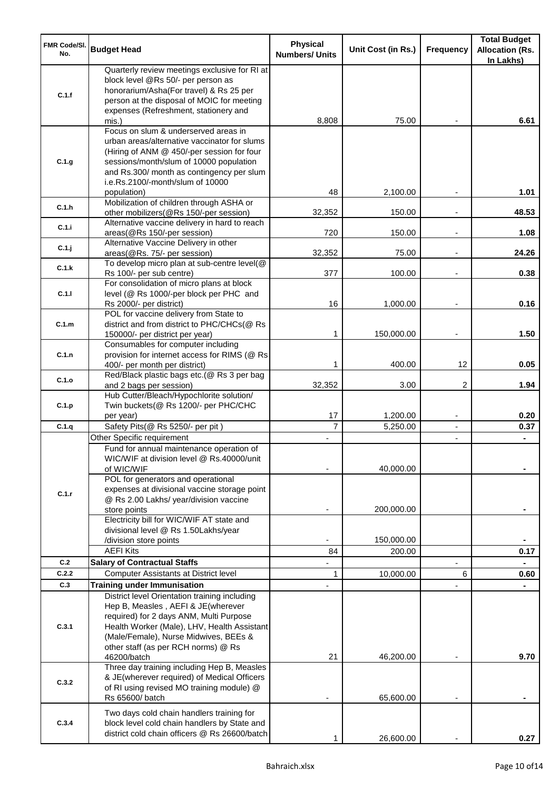| <b>FMR Code/SI.</b><br>No. | <b>Budget Head</b>                                                                                                                                                                                                                                             | <b>Physical</b><br><b>Numbers/ Units</b> | Unit Cost (in Rs.) | Frequency                        | <b>Total Budget</b><br><b>Allocation (Rs.</b><br>In Lakhs) |
|----------------------------|----------------------------------------------------------------------------------------------------------------------------------------------------------------------------------------------------------------------------------------------------------------|------------------------------------------|--------------------|----------------------------------|------------------------------------------------------------|
| C.1.f                      | Quarterly review meetings exclusive for RI at<br>block level @Rs 50/- per person as<br>honorarium/Asha(For travel) & Rs 25 per<br>person at the disposal of MOIC for meeting<br>expenses (Refreshment, stationery and                                          |                                          |                    |                                  |                                                            |
|                            | mis.)                                                                                                                                                                                                                                                          | 8,808                                    | 75.00              |                                  | 6.61                                                       |
| C.1.g                      | Focus on slum & underserved areas in<br>urban areas/alternative vaccinator for slums<br>(Hiring of ANM @ 450/-per session for four<br>sessions/month/slum of 10000 population<br>and Rs.300/ month as contingency per slum<br>i.e.Rs.2100/-month/slum of 10000 |                                          |                    |                                  |                                                            |
| C.1.h                      | population)<br>Mobilization of children through ASHA or                                                                                                                                                                                                        | 48<br>32,352                             | 2,100.00<br>150.00 |                                  | 1.01<br>48.53                                              |
| C.1.i                      | other mobilizers(@Rs 150/-per session)<br>Alternative vaccine delivery in hard to reach                                                                                                                                                                        | 720                                      | 150.00             | $\overline{\phantom{a}}$         | 1.08                                                       |
| C.1.j                      | areas(@Rs 150/-per session)<br>Alternative Vaccine Delivery in other<br>areas(@Rs. 75/- per session)                                                                                                                                                           | 32,352                                   | 75.00              | $\overline{\phantom{a}}$         | 24.26                                                      |
| C.1.k                      | To develop micro plan at sub-centre level(@                                                                                                                                                                                                                    |                                          |                    |                                  |                                                            |
| C.1.1                      | Rs 100/- per sub centre)<br>For consolidation of micro plans at block<br>level (@ Rs 1000/-per block per PHC and                                                                                                                                               | 377                                      | 100.00             |                                  | 0.38                                                       |
|                            | Rs 2000/- per district)<br>POL for vaccine delivery from State to                                                                                                                                                                                              | 16                                       | 1,000.00           |                                  | 0.16                                                       |
| C.1.m                      | district and from district to PHC/CHCs(@ Rs<br>150000/- per district per year)                                                                                                                                                                                 | 1                                        | 150,000.00         | $\overline{\phantom{a}}$         | 1.50                                                       |
| C.1.n                      | Consumables for computer including<br>provision for internet access for RIMS (@ Rs<br>400/- per month per district)                                                                                                                                            | 1                                        | 400.00             | 12                               | 0.05                                                       |
| C.1.o                      | Red/Black plastic bags etc.(@ Rs 3 per bag<br>and 2 bags per session)                                                                                                                                                                                          | 32,352                                   | 3.00               | 2                                | 1.94                                                       |
| C.1.p                      | Hub Cutter/Bleach/Hypochlorite solution/<br>Twin buckets(@ Rs 1200/- per PHC/CHC                                                                                                                                                                               | 17                                       |                    |                                  | 0.20                                                       |
| C.1.q                      | per year)                                                                                                                                                                                                                                                      | $\overline{7}$                           | 1,200.00           | $\overline{\phantom{a}}$         |                                                            |
|                            | Safety Pits(@ Rs 5250/- per pit)<br>Other Specific requirement                                                                                                                                                                                                 |                                          | 5,250.00           | $\blacksquare$<br>$\blacksquare$ | 0.37                                                       |
|                            | Fund for annual maintenance operation of<br>WIC/WIF at division level @ Rs.40000/unit<br>of WIC/WIF<br>POL for generators and operational                                                                                                                      |                                          | 40,000.00          |                                  |                                                            |
| C.1.r                      | expenses at divisional vaccine storage point<br>@ Rs 2.00 Lakhs/ year/division vaccine<br>store points                                                                                                                                                         |                                          | 200,000.00         |                                  |                                                            |
|                            | Electricity bill for WIC/WIF AT state and<br>divisional level @ Rs 1.50Lakhs/year                                                                                                                                                                              |                                          |                    |                                  |                                                            |
|                            | /division store points                                                                                                                                                                                                                                         |                                          | 150,000.00         |                                  |                                                            |
|                            | <b>AEFI Kits</b>                                                                                                                                                                                                                                               | 84                                       | 200.00             |                                  | 0.17                                                       |
| C.2                        | <b>Salary of Contractual Staffs</b>                                                                                                                                                                                                                            |                                          |                    |                                  |                                                            |
| C.2.2<br>C.3               | Computer Assistants at District level                                                                                                                                                                                                                          | 1                                        | 10,000.00          | 6                                | 0.60                                                       |
|                            | <b>Training under Immunisation</b><br>District level Orientation training including                                                                                                                                                                            |                                          |                    |                                  |                                                            |
| C.3.1                      | Hep B, Measles, AEFI & JE(wherever<br>required) for 2 days ANM, Multi Purpose<br>Health Worker (Male), LHV, Health Assistant<br>(Male/Female), Nurse Midwives, BEEs &<br>other staff (as per RCH norms) @ Rs<br>46200/batch                                    | 21                                       | 46,200.00          |                                  | 9.70                                                       |
| C.3.2                      | Three day training including Hep B, Measles<br>& JE(wherever required) of Medical Officers<br>of RI using revised MO training module) @<br>Rs 65600/ batch                                                                                                     |                                          | 65,600.00          |                                  |                                                            |
| C.3.4                      | Two days cold chain handlers training for<br>block level cold chain handlers by State and<br>district cold chain officers @ Rs 26600/batch                                                                                                                     |                                          | 26,600.00          |                                  | 0.27                                                       |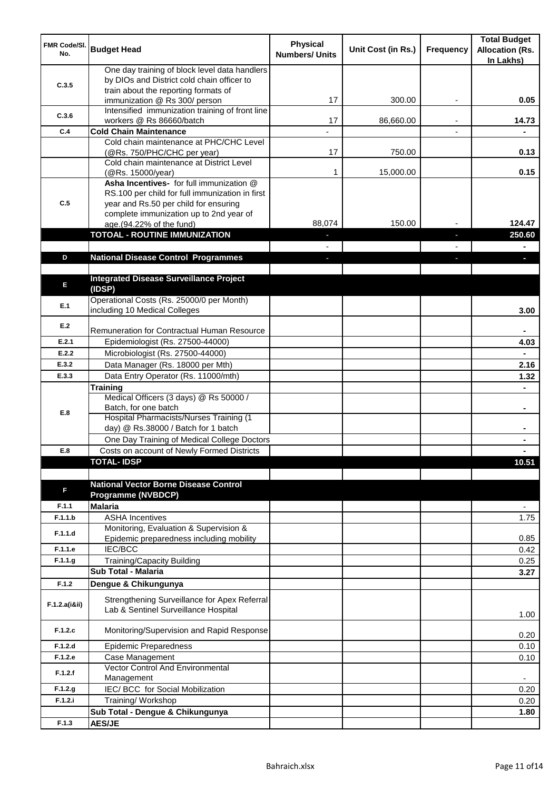| <b>FMR Code/SI.</b><br>No. | <b>Budget Head</b>                                                                                                                                                              | <b>Physical</b><br><b>Numbers/ Units</b> | Unit Cost (in Rs.) | Frequency | <b>Total Budget</b><br><b>Allocation (Rs.</b><br>In Lakhs) |
|----------------------------|---------------------------------------------------------------------------------------------------------------------------------------------------------------------------------|------------------------------------------|--------------------|-----------|------------------------------------------------------------|
| C.3.5                      | One day training of block level data handlers<br>by DIOs and District cold chain officer to                                                                                     |                                          |                    |           |                                                            |
|                            | train about the reporting formats of<br>immunization @ Rs 300/ person                                                                                                           | 17                                       | 300.00             | ٠         | 0.05                                                       |
| C.3.6                      | Intensified immunization training of front line<br>workers @ Rs 86660/batch                                                                                                     | 17                                       | 86,660.00          |           | 14.73                                                      |
| C.4                        | <b>Cold Chain Maintenance</b>                                                                                                                                                   |                                          |                    |           |                                                            |
|                            | Cold chain maintenance at PHC/CHC Level<br>(@Rs. 750/PHC/CHC per year)                                                                                                          | 17                                       | 750.00             |           | 0.13                                                       |
|                            | Cold chain maintenance at District Level<br>(@Rs. 15000/year)                                                                                                                   | 1                                        | 15,000.00          |           | 0.15                                                       |
| C.5                        | Asha Incentives- for full immunization @<br>RS.100 per child for full immunization in first<br>year and Rs.50 per child for ensuring<br>complete immunization up to 2nd year of |                                          |                    |           |                                                            |
|                            | age.(94.22% of the fund)                                                                                                                                                        | 88,074                                   | 150.00             |           | 124.47                                                     |
|                            | <b>TOTOAL - ROUTINE IMMUNIZATION</b>                                                                                                                                            |                                          |                    |           | 250.60                                                     |
|                            |                                                                                                                                                                                 |                                          |                    |           |                                                            |
| D                          | <b>National Disease Control Programmes</b>                                                                                                                                      |                                          |                    |           |                                                            |
|                            |                                                                                                                                                                                 |                                          |                    |           |                                                            |
| E                          | <b>Integrated Disease Surveillance Project</b><br>(IDSP)                                                                                                                        |                                          |                    |           |                                                            |
| E.1                        | Operational Costs (Rs. 25000/0 per Month)<br>including 10 Medical Colleges                                                                                                      |                                          |                    |           | 3.00                                                       |
| E.2                        | Remuneration for Contractual Human Resource                                                                                                                                     |                                          |                    |           |                                                            |
| E.2.1                      | Epidemiologist (Rs. 27500-44000)                                                                                                                                                |                                          |                    |           | 4.03                                                       |
| E.2.2                      | Microbiologist (Rs. 27500-44000)                                                                                                                                                |                                          |                    |           |                                                            |
| E.3.2                      | Data Manager (Rs. 18000 per Mth)                                                                                                                                                |                                          |                    |           | 2.16                                                       |
| E.3.3                      | Data Entry Operator (Rs. 11000/mth)                                                                                                                                             |                                          |                    |           | 1.32                                                       |
|                            | <b>Training</b>                                                                                                                                                                 |                                          |                    |           |                                                            |
| E.8                        | Medical Officers (3 days) @ Rs 50000 /<br>Batch, for one batch                                                                                                                  |                                          |                    |           | $\blacksquare$                                             |
|                            | Hospital Pharmacists/Nurses Training (1<br>day) @ Rs.38000 / Batch for 1 batch                                                                                                  |                                          |                    |           |                                                            |
|                            | One Day Training of Medical College Doctors                                                                                                                                     |                                          |                    |           |                                                            |
| E.8                        | Costs on account of Newly Formed Districts                                                                                                                                      |                                          |                    |           |                                                            |
|                            | <b>TOTAL-IDSP</b>                                                                                                                                                               |                                          |                    |           | 10.51                                                      |
| F                          | <b>National Vector Borne Disease Control</b><br><b>Programme (NVBDCP)</b>                                                                                                       |                                          |                    |           |                                                            |
| F.1.1                      | <b>Malaria</b>                                                                                                                                                                  |                                          |                    |           | $\overline{\phantom{a}}$                                   |
| F.1.1.b                    | <b>ASHA Incentives</b>                                                                                                                                                          |                                          |                    |           | 1.75                                                       |
| F.1.1.d                    | Monitoring, Evaluation & Supervision &<br>Epidemic preparedness including mobility                                                                                              |                                          |                    |           | 0.85                                                       |
| F.1.1.e                    | <b>IEC/BCC</b>                                                                                                                                                                  |                                          |                    |           | 0.42                                                       |
| F.1.1.g                    | Training/Capacity Building                                                                                                                                                      |                                          |                    |           | 0.25                                                       |
|                            | <b>Sub Total - Malaria</b>                                                                                                                                                      |                                          |                    |           | 3.27                                                       |
| F.1.2                      | Dengue & Chikungunya                                                                                                                                                            |                                          |                    |           |                                                            |
| F.1.2.a(iⅈ)                | Strengthening Surveillance for Apex Referral<br>Lab & Sentinel Surveillance Hospital                                                                                            |                                          |                    |           | 1.00                                                       |
| F.1.2.c                    | Monitoring/Supervision and Rapid Response                                                                                                                                       |                                          |                    |           | 0.20                                                       |
| F.1.2.d                    | <b>Epidemic Preparedness</b>                                                                                                                                                    |                                          |                    |           | 0.10                                                       |
| F.1.2.e                    | Case Management<br>Vector Control And Environmental                                                                                                                             |                                          |                    |           | 0.10                                                       |
| F.1.2.f                    | Management                                                                                                                                                                      |                                          |                    |           | $\overline{\phantom{a}}$                                   |
| F.1.2.g                    | IEC/ BCC for Social Mobilization                                                                                                                                                |                                          |                    |           | 0.20                                                       |
| F.1.2.i                    | Training/ Workshop                                                                                                                                                              |                                          |                    |           | 0.20                                                       |
|                            | Sub Total - Dengue & Chikungunya                                                                                                                                                |                                          |                    |           | 1.80                                                       |
| F.1.3                      | <b>AES/JE</b>                                                                                                                                                                   |                                          |                    |           |                                                            |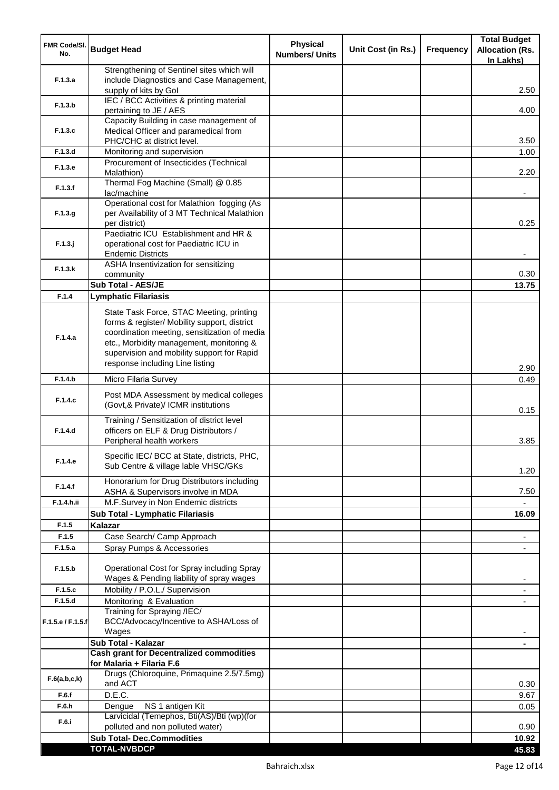| <b>FMR Code/SI.</b><br>No. | <b>Budget Head</b>                                                                                                                                                                                                                                                    | <b>Physical</b><br><b>Numbers/ Units</b> | Unit Cost (in Rs.) | Frequency | <b>Total Budget</b><br><b>Allocation (Rs.</b><br>In Lakhs) |
|----------------------------|-----------------------------------------------------------------------------------------------------------------------------------------------------------------------------------------------------------------------------------------------------------------------|------------------------------------------|--------------------|-----------|------------------------------------------------------------|
|                            | Strengthening of Sentinel sites which will                                                                                                                                                                                                                            |                                          |                    |           |                                                            |
| F.1.3.a                    | include Diagnostics and Case Management,<br>supply of kits by Gol                                                                                                                                                                                                     |                                          |                    |           | 2.50                                                       |
| F.1.3.b                    | IEC / BCC Activities & printing material<br>pertaining to JE / AES                                                                                                                                                                                                    |                                          |                    |           | 4.00                                                       |
|                            | Capacity Building in case management of                                                                                                                                                                                                                               |                                          |                    |           |                                                            |
| F.1.3.c                    | Medical Officer and paramedical from                                                                                                                                                                                                                                  |                                          |                    |           |                                                            |
|                            | PHC/CHC at district level.                                                                                                                                                                                                                                            |                                          |                    |           | 3.50                                                       |
| F.1.3.d                    | Monitoring and supervision<br>Procurement of Insecticides (Technical                                                                                                                                                                                                  |                                          |                    |           | 1.00                                                       |
| F.1.3.e                    | Malathion)                                                                                                                                                                                                                                                            |                                          |                    |           | 2.20                                                       |
| F.1.3.f                    | Thermal Fog Machine (Small) @ 0.85<br>lac/machine                                                                                                                                                                                                                     |                                          |                    |           |                                                            |
| F.1.3.g                    | Operational cost for Malathion fogging (As<br>per Availability of 3 MT Technical Malathion<br>per district)                                                                                                                                                           |                                          |                    |           | 0.25                                                       |
|                            | Paediatric ICU Establishment and HR &                                                                                                                                                                                                                                 |                                          |                    |           |                                                            |
| $F.1.3.$ j                 | operational cost for Paediatric ICU in                                                                                                                                                                                                                                |                                          |                    |           |                                                            |
|                            | <b>Endemic Districts</b>                                                                                                                                                                                                                                              |                                          |                    |           |                                                            |
| F.1.3.k                    | ASHA Insentivization for sensitizing<br>community                                                                                                                                                                                                                     |                                          |                    |           | 0.30                                                       |
|                            | <b>Sub Total - AES/JE</b>                                                                                                                                                                                                                                             |                                          |                    |           | 13.75                                                      |
| F.1.4                      | <b>Lymphatic Filariasis</b>                                                                                                                                                                                                                                           |                                          |                    |           |                                                            |
| F.1.4.a                    | State Task Force, STAC Meeting, printing<br>forms & register/ Mobility support, district<br>coordination meeting, sensitization of media<br>etc., Morbidity management, monitoring &<br>supervision and mobility support for Rapid<br>response including Line listing |                                          |                    |           |                                                            |
| F.1.4.b                    | Micro Filaria Survey                                                                                                                                                                                                                                                  |                                          |                    |           | 2.90<br>0.49                                               |
|                            |                                                                                                                                                                                                                                                                       |                                          |                    |           |                                                            |
| F.1.4.c                    | Post MDA Assessment by medical colleges<br>(Govt,& Private)/ ICMR institutions                                                                                                                                                                                        |                                          |                    |           | 0.15                                                       |
| F.1.4.d                    | Training / Sensitization of district level<br>officers on ELF & Drug Distributors /<br>Peripheral health workers                                                                                                                                                      |                                          |                    |           | 3.85                                                       |
| F.1.4.e                    | Specific IEC/ BCC at State, districts, PHC,<br>Sub Centre & village lable VHSC/GKs                                                                                                                                                                                    |                                          |                    |           | 1.20                                                       |
| F.1.4.f                    | Honorarium for Drug Distributors including<br>ASHA & Supervisors involve in MDA                                                                                                                                                                                       |                                          |                    |           | 7.50                                                       |
| F.1.4.h.ii                 | M.F.Survey in Non Endemic districts                                                                                                                                                                                                                                   |                                          |                    |           |                                                            |
|                            | Sub Total - Lymphatic Filariasis                                                                                                                                                                                                                                      |                                          |                    |           | 16.09                                                      |
| F.1.5                      | Kalazar                                                                                                                                                                                                                                                               |                                          |                    |           |                                                            |
| F.1.5                      | Case Search/ Camp Approach                                                                                                                                                                                                                                            |                                          |                    |           | $\overline{\phantom{a}}$                                   |
| F.1.5.a                    | Spray Pumps & Accessories                                                                                                                                                                                                                                             |                                          |                    |           | $\blacksquare$                                             |
| F.1.5.b                    | Operational Cost for Spray including Spray<br>Wages & Pending liability of spray wages                                                                                                                                                                                |                                          |                    |           |                                                            |
| F.1.5.c                    | Mobility / P.O.L./ Supervision                                                                                                                                                                                                                                        |                                          |                    |           |                                                            |
| F.1.5.d                    | Monitoring & Evaluation                                                                                                                                                                                                                                               |                                          |                    |           |                                                            |
| F.1.5.e / F.1.5.f          | Training for Spraying /IEC/<br>BCC/Advocacy/Incentive to ASHA/Loss of<br>Wages                                                                                                                                                                                        |                                          |                    |           |                                                            |
|                            | Sub Total - Kalazar                                                                                                                                                                                                                                                   |                                          |                    |           |                                                            |
|                            | <b>Cash grant for Decentralized commodities</b><br>for Malaria + Filaria F.6                                                                                                                                                                                          |                                          |                    |           |                                                            |
| F.6(a,b,c,k)               | Drugs (Chloroquine, Primaquine 2.5/7.5mg)<br>and ACT                                                                                                                                                                                                                  |                                          |                    |           | 0.30                                                       |
| F.6.f                      | D.E.C.                                                                                                                                                                                                                                                                |                                          |                    |           | 9.67                                                       |
| F.6.h                      | NS 1 antigen Kit<br>Dengue                                                                                                                                                                                                                                            |                                          |                    |           | 0.05                                                       |
| F.6.i                      | Larvicidal (Temephos, Bti(AS)/Bti (wp)(for<br>polluted and non polluted water)                                                                                                                                                                                        |                                          |                    |           | 0.90                                                       |
|                            | <b>Sub Total- Dec.Commodities</b>                                                                                                                                                                                                                                     |                                          |                    |           | 10.92                                                      |
|                            | <b>TOTAL-NVBDCP</b>                                                                                                                                                                                                                                                   |                                          |                    |           | 45.83                                                      |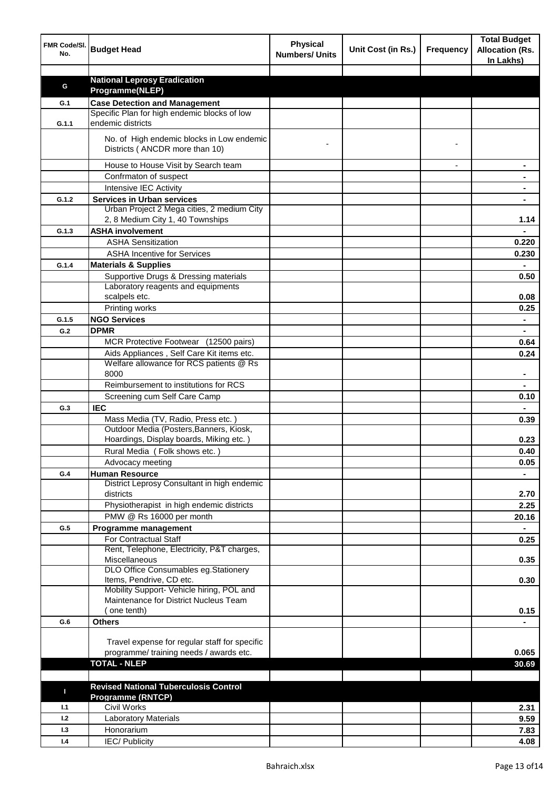| FMR Code/SI.<br>No. | <b>Budget Head</b>                                                                       | <b>Physical</b><br><b>Numbers/ Units</b> | Unit Cost (in Rs.) | <b>Frequency</b> | <b>Total Budget</b><br><b>Allocation (Rs.</b><br>In Lakhs) |
|---------------------|------------------------------------------------------------------------------------------|------------------------------------------|--------------------|------------------|------------------------------------------------------------|
|                     |                                                                                          |                                          |                    |                  |                                                            |
| G                   | <b>National Leprosy Eradication</b>                                                      |                                          |                    |                  |                                                            |
|                     | Programme(NLEP)                                                                          |                                          |                    |                  |                                                            |
| G.1                 | <b>Case Detection and Management</b><br>Specific Plan for high endemic blocks of low     |                                          |                    |                  |                                                            |
| G.1.1               | endemic districts                                                                        |                                          |                    |                  |                                                            |
|                     | No. of High endemic blocks in Low endemic<br>Districts (ANCDR more than 10)              |                                          |                    |                  |                                                            |
|                     |                                                                                          |                                          |                    |                  |                                                            |
|                     | House to House Visit by Search team                                                      |                                          |                    |                  |                                                            |
|                     | Confrmaton of suspect                                                                    |                                          |                    |                  |                                                            |
|                     | Intensive IEC Activity                                                                   |                                          |                    |                  |                                                            |
| G.1.2               | <b>Services in Urban services</b><br>Urban Project 2 Mega cities, 2 medium City          |                                          |                    |                  |                                                            |
|                     | 2, 8 Medium City 1, 40 Townships                                                         |                                          |                    |                  | 1.14                                                       |
| G.1.3               | <b>ASHA involvement</b>                                                                  |                                          |                    |                  |                                                            |
|                     | <b>ASHA Sensitization</b>                                                                |                                          |                    |                  | 0.220                                                      |
|                     | <b>ASHA Incentive for Services</b>                                                       |                                          |                    |                  | 0.230                                                      |
| G.1.4               | <b>Materials &amp; Supplies</b>                                                          |                                          |                    |                  |                                                            |
|                     | Supportive Drugs & Dressing materials                                                    |                                          |                    |                  | 0.50                                                       |
|                     | Laboratory reagents and equipments                                                       |                                          |                    |                  |                                                            |
|                     | scalpels etc.                                                                            |                                          |                    |                  | 0.08                                                       |
|                     | Printing works                                                                           |                                          |                    |                  | 0.25                                                       |
| G.1.5               | <b>NGO Services</b>                                                                      |                                          |                    |                  | $\blacksquare$                                             |
| G.2                 | <b>DPMR</b>                                                                              |                                          |                    |                  | $\blacksquare$                                             |
|                     | MCR Protective Footwear (12500 pairs)                                                    |                                          |                    |                  | 0.64                                                       |
|                     | Aids Appliances, Self Care Kit items etc.                                                |                                          |                    |                  | 0.24                                                       |
|                     | Welfare allowance for RCS patients @ Rs                                                  |                                          |                    |                  |                                                            |
|                     | 8000                                                                                     |                                          |                    |                  |                                                            |
|                     | Reimbursement to institutions for RCS                                                    |                                          |                    |                  |                                                            |
|                     | Screening cum Self Care Camp                                                             |                                          |                    |                  | 0.10                                                       |
| G.3                 | <b>IEC</b>                                                                               |                                          |                    |                  |                                                            |
|                     | Mass Media (TV, Radio, Press etc.)                                                       |                                          |                    |                  | 0.39                                                       |
|                     | Outdoor Media (Posters, Banners, Kiosk,                                                  |                                          |                    |                  |                                                            |
|                     | Hoardings, Display boards, Miking etc.)                                                  |                                          |                    |                  | 0.23                                                       |
|                     | Rural Media (Folk shows etc.)                                                            |                                          |                    |                  | 0.40                                                       |
|                     | Advocacy meeting                                                                         |                                          |                    |                  | 0.05                                                       |
| G.4                 | <b>Human Resource</b>                                                                    |                                          |                    |                  |                                                            |
|                     | District Leprosy Consultant in high endemic<br>districts                                 |                                          |                    |                  | 2.70                                                       |
|                     | Physiotherapist in high endemic districts                                                |                                          |                    |                  | 2.25                                                       |
|                     | PMW @ Rs 16000 per month                                                                 |                                          |                    |                  | 20.16                                                      |
| G.5                 | Programme management                                                                     |                                          |                    |                  | $\blacksquare$                                             |
|                     | <b>For Contractual Staff</b><br>Rent, Telephone, Electricity, P&T charges,               |                                          |                    |                  | 0.25                                                       |
|                     | Miscellaneous                                                                            |                                          |                    |                  | 0.35                                                       |
|                     | DLO Office Consumables eg.Stationery                                                     |                                          |                    |                  |                                                            |
|                     | Items, Pendrive, CD etc.                                                                 |                                          |                    |                  | 0.30                                                       |
|                     | Mobility Support- Vehicle hiring, POL and                                                |                                          |                    |                  |                                                            |
|                     | Maintenance for District Nucleus Team                                                    |                                          |                    |                  |                                                            |
|                     | one tenth)                                                                               |                                          |                    |                  | 0.15                                                       |
| G.6                 | <b>Others</b>                                                                            |                                          |                    |                  |                                                            |
|                     |                                                                                          |                                          |                    |                  |                                                            |
|                     | Travel expense for regular staff for specific<br>programme/ training needs / awards etc. |                                          |                    |                  | 0.065                                                      |
|                     | <b>TOTAL - NLEP</b>                                                                      |                                          |                    |                  | 30.69                                                      |
|                     |                                                                                          |                                          |                    |                  |                                                            |
|                     | <b>Revised National Tuberculosis Control</b>                                             |                                          |                    |                  |                                                            |
| п                   | <b>Programme (RNTCP)</b>                                                                 |                                          |                    |                  |                                                            |
| 1.1                 | <b>Civil Works</b>                                                                       |                                          |                    |                  | 2.31                                                       |
| 1.2                 | <b>Laboratory Materials</b>                                                              |                                          |                    |                  | 9.59                                                       |
| 1.3                 | Honorarium                                                                               |                                          |                    |                  | 7.83                                                       |
| 1.4                 | <b>IEC/Publicity</b>                                                                     |                                          |                    |                  | 4.08                                                       |